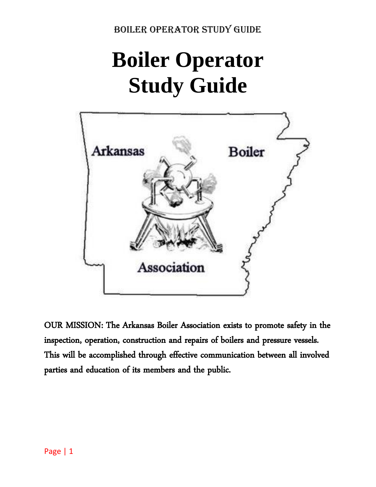# **Boiler Operator Study Guide**



OUR MISSION: The Arkansas Boiler Association exists to promote safety in the inspection, operation, construction and repairs of boilers and pressure vessels. This will be accomplished through effective communication between all involved parties and education of its members and the public.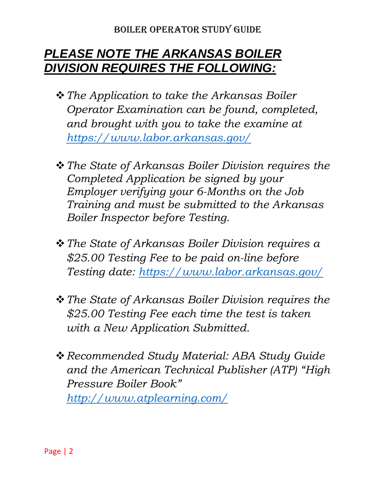# *PLEASE NOTE THE ARKANSAS BOILER DIVISION REQUIRES THE FOLLOWING:*

- ❖*The Application to take the Arkansas Boiler Operator Examination can be found, completed, and brought with you to take the examine at <https://www.labor.arkansas.gov/>*
- ❖*The State of Arkansas Boiler Division requires the Completed Application be signed by your Employer verifying your 6-Months on the Job Training and must be submitted to the Arkansas Boiler Inspector before Testing.*
- ❖*The State of Arkansas Boiler Division requires a \$25.00 Testing Fee to be paid on-line before Testing date:<https://www.labor.arkansas.gov/>*
- ❖*The State of Arkansas Boiler Division requires the \$25.00 Testing Fee each time the test is taken with a New Application Submitted.*
- ❖*Recommended Study Material: ABA Study Guide and the American Technical Publisher (ATP) "High Pressure Boiler Book" <http://www.atplearning.com/>*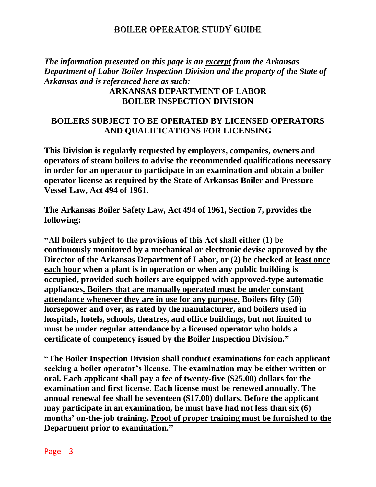*The information presented on this page is an excerpt from the Arkansas Department of Labor Boiler Inspection Division and the property of the State of Arkansas and is referenced here as such:*

#### **ARKANSAS DEPARTMENT OF LABOR BOILER INSPECTION DIVISION**

### **BOILERS SUBJECT TO BE OPERATED BY LICENSED OPERATORS AND QUALIFICATIONS FOR LICENSING**

**This Division is regularly requested by employers, companies, owners and operators of steam boilers to advise the recommended qualifications necessary in order for an operator to participate in an examination and obtain a boiler operator license as required by the State of Arkansas Boiler and Pressure Vessel Law, Act 494 of 1961.** 

**The Arkansas Boiler Safety Law, Act 494 of 1961, Section 7, provides the following:** 

**"All boilers subject to the provisions of this Act shall either (1) be continuously monitored by a mechanical or electronic devise approved by the Director of the Arkansas Department of Labor, or (2) be checked at least once each hour when a plant is in operation or when any public building is occupied, provided such boilers are equipped with approved-type automatic appliances. Boilers that are manually operated must be under constant attendance whenever they are in use for any purpose. Boilers fifty (50) horsepower and over, as rated by the manufacturer, and boilers used in hospitals, hotels, schools, theatres, and office buildings, but not limited to must be under regular attendance by a licensed operator who holds a certificate of competency issued by the Boiler Inspection Division."**

**"The Boiler Inspection Division shall conduct examinations for each applicant seeking a boiler operator's license. The examination may be either written or oral. Each applicant shall pay a fee of twenty-five (\$25.00) dollars for the examination and first license. Each license must be renewed annually. The annual renewal fee shall be seventeen (\$17.00) dollars. Before the applicant may participate in an examination, he must have had not less than six (6) months' on-the-job training. Proof of proper training must be furnished to the Department prior to examination."**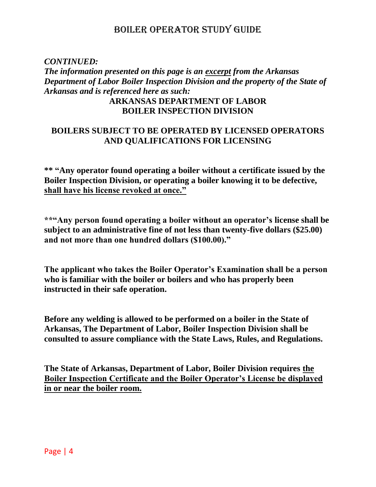### *CONTINUED: The information presented on this page is an excerpt from the Arkansas Department of Labor Boiler Inspection Division and the property of the State of Arkansas and is referenced here as such:* **ARKANSAS DEPARTMENT OF LABOR BOILER INSPECTION DIVISION**

### **BOILERS SUBJECT TO BE OPERATED BY LICENSED OPERATORS AND QUALIFICATIONS FOR LICENSING**

**\*\* "Any operator found operating a boiler without a certificate issued by the Boiler Inspection Division, or operating a boiler knowing it to be defective, shall have his license revoked at once."** 

**\*\*"Any person found operating a boiler without an operator's license shall be subject to an administrative fine of not less than twenty-five dollars (\$25.00) and not more than one hundred dollars (\$100.00)."** 

**The applicant who takes the Boiler Operator's Examination shall be a person who is familiar with the boiler or boilers and who has properly been instructed in their safe operation.** 

**Before any welding is allowed to be performed on a boiler in the State of Arkansas, The Department of Labor, Boiler Inspection Division shall be consulted to assure compliance with the State Laws, Rules, and Regulations.**

**The State of Arkansas, Department of Labor, Boiler Division requires the Boiler Inspection Certificate and the Boiler Operator's License be displayed in or near the boiler room.**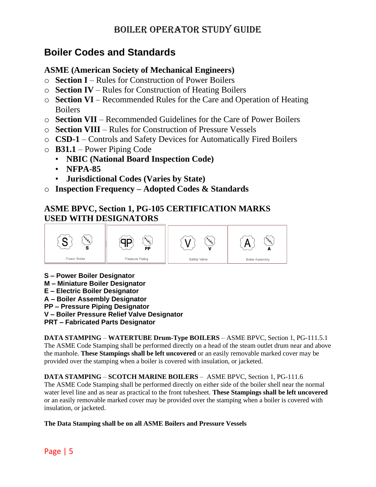# **Boiler Codes and Standards**

### **ASME (American Society of Mechanical Engineers)**

- o **Section I** Rules for Construction of Power Boilers
- o **Section IV** Rules for Construction of Heating Boilers
- o **Section VI** Recommended Rules for the Care and Operation of Heating Boilers
- o **Section VII** Recommended Guidelines for the Care of Power Boilers
- o **Section VIII** Rules for Construction of Pressure Vessels
- o **CSD-1** Controls and Safety Devices for Automatically Fired Boilers
- o **B31.1** Power Piping Code
	- **NBIC (National Board Inspection Code)**
	- **NFPA-85**
	- **Jurisdictional Codes (Varies by State)**
- o **Inspection Frequency – Adopted Codes & Standards**

### **ASME BPVC, Section 1, PG-105 CERTIFICATION MARKS USED WITH DESIGNATORS**



- **S – Power Boiler Designator**
- **M – Miniature Boiler Designator**
- **E – Electric Boiler Designator**
- **A – Boiler Assembly Designator**
- **PP – Pressure Piping Designator**
- **V – Boiler Pressure Relief Valve Designator**
- **PRT – Fabricated Parts Designator**

**DATA STAMPING** – **WATERTUBE Drum-Type BOILERS** – ASME BPVC, Section 1, PG-111.5.1 The ASME Code Stamping shall be performed directly on a head of the steam outlet drum near and above the manhole. **These Stampings shall be left uncovered** or an easily removable marked cover may be provided over the stamping when a boiler is covered with insulation, or jacketed.

**DATA STAMPING** – **SCOTCH MARINE BOILERS** – ASME BPVC, Section 1, PG-111.6 The ASME Code Stamping shall be performed directly on either side of the boiler shell near the normal water level line and as near as practical to the front tubesheet. **These Stampings shall be left uncovered** or an easily removable marked cover may be provided over the stamping when a boiler is covered with insulation, or jacketed.

**The Data Stamping shall be on all ASME Boilers and Pressure Vessels**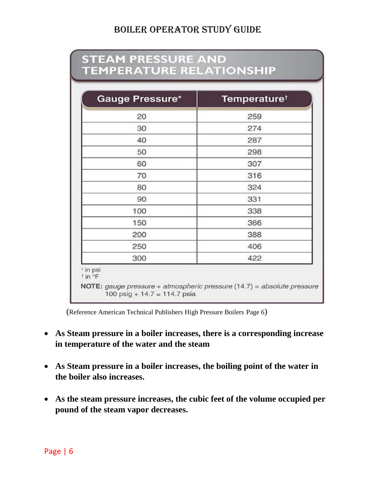proposition of the company's company's proposition

| Gauge Pressure* | <b>Temperature</b> <sup>†</sup> |
|-----------------|---------------------------------|
| 20              | 259                             |
| 30              | 274                             |
| 40              | 287                             |
| 50              | 298                             |
| 60              | 307                             |
| 70              | 316                             |
| 80              | 324                             |
| 90              | 331                             |
| 100             | 338                             |
| 150             | 366                             |
| 200             | 388                             |
| 250             | 406                             |
| 300             | 422                             |

(Reference American Technical Publishers High Pressure Boilers Page 6)

- **As Steam pressure in a boiler increases, there is a corresponding increase in temperature of the water and the steam**
- **As Steam pressure in a boiler increases, the boiling point of the water in the boiler also increases.**
- **As the steam pressure increases, the cubic feet of the volume occupied per pound of the steam vapor decreases.**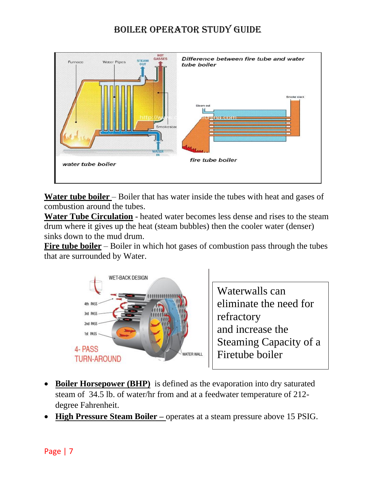

**Water tube boiler** – Boiler that has water inside the tubes with heat and gases of combustion around the tubes.

**Water Tube Circulation** - heated water becomes less dense and rises to the steam drum where it gives up the heat (steam bubbles) then the cooler water (denser) sinks down to the mud drum.

**Fire tube boiler** – Boiler in which hot gases of combustion pass through the tubes that are surrounded by Water.



Waterwalls can eliminate the need for refractory and increase the Steaming Capacity of a Firetube boiler

- **Boiler Horsepower (BHP)** is defined as the evaporation into dry saturated steam of 34.5 lb. of water/hr from and at a feedwater temperature of 212 degree Fahrenheit.
- **High Pressure Steam Boiler –** operates at a steam pressure above 15 PSIG.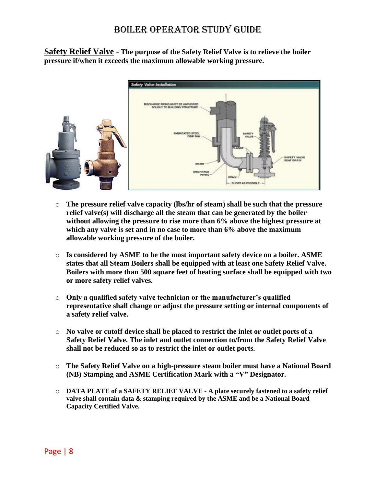**Safety Relief Valve** - **The purpose of the Safety Relief Valve is to relieve the boiler pressure if/when it exceeds the maximum allowable working pressure.**



- o **The pressure relief valve capacity (lbs/hr of steam) shall be such that the pressure relief valve(s) will discharge all the steam that can be generated by the boiler without allowing the pressure to rise more than 6% above the highest pressure at which any valve is set and in no case to more than 6% above the maximum allowable working pressure of the boiler.**
- o **Is considered by ASME to be the most important safety device on a boiler. ASME states that all Steam Boilers shall be equipped with at least one Safety Relief Valve. Boilers with more than 500 square feet of heating surface shall be equipped with two or more safety relief valves.**
- o **Only a qualified safety valve technician or the manufacturer's qualified representative shall change or adjust the pressure setting or internal components of a safety relief valve.**
- o **No valve or cutoff device shall be placed to restrict the inlet or outlet ports of a Safety Relief Valve. The inlet and outlet connection to/from the Safety Relief Valve shall not be reduced so as to restrict the inlet or outlet ports.**
- o **The Safety Relief Valve on a high-pressure steam boiler must have a National Board (NB) Stamping and ASME Certification Mark with a "V" Designator.**
- o **DATA PLATE of a SAFETY RELIEF VALVE - A plate securely fastened to a safety relief valve shall contain data & stamping required by the ASME and be a National Board Capacity Certified Valve.**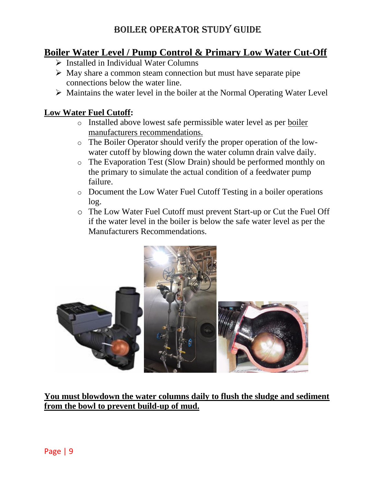# **Boiler Water Level / Pump Control & Primary Low Water Cut-Off**

- ➢ Installed in Individual Water Columns
- ➢ May share a common steam connection but must have separate pipe connections below the water line.
- ➢ Maintains the water level in the boiler at the Normal Operating Water Level

### **Low Water Fuel Cutoff:**

- o Installed above lowest safe permissible water level as per boiler manufacturers recommendations.
- o The Boiler Operator should verify the proper operation of the lowwater cutoff by blowing down the water column drain valve daily.
- o The Evaporation Test (Slow Drain) should be performed monthly on the primary to simulate the actual condition of a feedwater pump failure.
- o Document the Low Water Fuel Cutoff Testing in a boiler operations log.
- o The Low Water Fuel Cutoff must prevent Start-up or Cut the Fuel Off if the water level in the boiler is below the safe water level as per the Manufacturers Recommendations.



**You must blowdown the water columns daily to flush the sludge and sediment from the bowl to prevent build-up of mud.**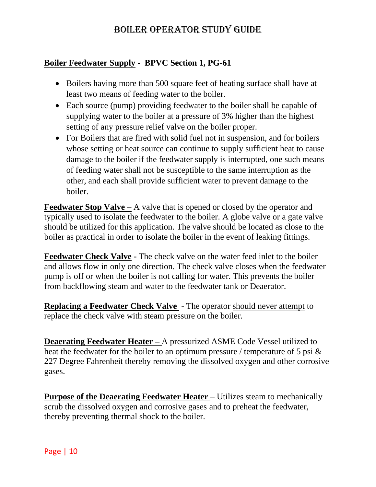### **Boiler Feedwater Supply - BPVC Section 1, PG-61**

- Boilers having more than 500 square feet of heating surface shall have at least two means of feeding water to the boiler.
- Each source (pump) providing feedwater to the boiler shall be capable of supplying water to the boiler at a pressure of 3% higher than the highest setting of any pressure relief valve on the boiler proper.
- For Boilers that are fired with solid fuel not in suspension, and for boilers whose setting or heat source can continue to supply sufficient heat to cause damage to the boiler if the feedwater supply is interrupted, one such means of feeding water shall not be susceptible to the same interruption as the other, and each shall provide sufficient water to prevent damage to the boiler.

**Feedwater Stop Valve** – A valve that is opened or closed by the operator and typically used to isolate the feedwater to the boiler. A globe valve or a gate valve should be utilized for this application. The valve should be located as close to the boiler as practical in order to isolate the boiler in the event of leaking fittings.

**Feedwater Check Valve -** The check valve on the water feed inlet to the boiler and allows flow in only one direction. The check valve closes when the feedwater pump is off or when the boiler is not calling for water. This prevents the boiler from backflowing steam and water to the feedwater tank or Deaerator.

**Replacing a Feedwater Check Valve** - The operator should never attempt to replace the check valve with steam pressure on the boiler.

**Deaerating Feedwater Heater –** A pressurized ASME Code Vessel utilized to heat the feedwater for the boiler to an optimum pressure / temperature of 5 psi & 227 Degree Fahrenheit thereby removing the dissolved oxygen and other corrosive gases.

**Purpose of the Deaerating Feedwater Heater** – Utilizes steam to mechanically scrub the dissolved oxygen and corrosive gases and to preheat the feedwater, thereby preventing thermal shock to the boiler.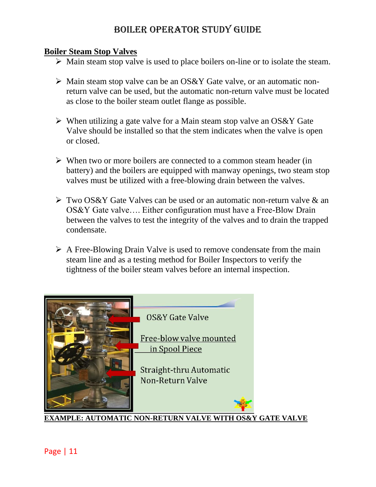#### **Boiler Steam Stop Valves**

- $\triangleright$  Main steam stop valve is used to place boilers on-line or to isolate the steam.
- ➢ Main steam stop valve can be an OS&Y Gate valve, or an automatic nonreturn valve can be used, but the automatic non-return valve must be located as close to the boiler steam outlet flange as possible.
- $\triangleright$  When utilizing a gate valve for a Main steam stop valve an OS&Y Gate Valve should be installed so that the stem indicates when the valve is open or closed.
- ➢ When two or more boilers are connected to a common steam header (in battery) and the boilers are equipped with manway openings, two steam stop valves must be utilized with a free-blowing drain between the valves.
- ➢ Two OS&Y Gate Valves can be used or an automatic non-return valve & an OS&Y Gate valve…. Either configuration must have a Free-Blow Drain between the valves to test the integrity of the valves and to drain the trapped condensate.
- ➢ A Free-Blowing Drain Valve is used to remove condensate from the main steam line and as a testing method for Boiler Inspectors to verify the tightness of the boiler steam valves before an internal inspection.

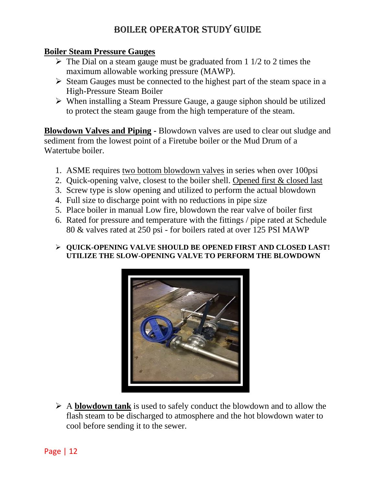### **Boiler Steam Pressure Gauges**

- $\triangleright$  The Dial on a steam gauge must be graduated from 1 1/2 to 2 times the maximum allowable working pressure (MAWP).
- ➢ Steam Gauges must be connected to the highest part of the steam space in a High-Pressure Steam Boiler
- ➢ When installing a Steam Pressure Gauge, a gauge siphon should be utilized to protect the steam gauge from the high temperature of the steam.

**Blowdown Valves and Piping -** Blowdown valves are used to clear out sludge and sediment from the lowest point of a Firetube boiler or the Mud Drum of a Watertube boiler.

- 1. ASME requires two bottom blowdown valves in series when over 100psi
- 2. Quick-opening valve, closest to the boiler shell. Opened first & closed last
- 3. Screw type is slow opening and utilized to perform the actual blowdown
- 4. Full size to discharge point with no reductions in pipe size
- 5. Place boiler in manual Low fire, blowdown the rear valve of boiler first
- 6. Rated for pressure and temperature with the fittings / pipe rated at Schedule 80 & valves rated at 250 psi - for boilers rated at over 125 PSI MAWP

#### ➢ **QUICK-OPENING VALVE SHOULD BE OPENED FIRST AND CLOSED LAST! UTILIZE THE SLOW-OPENING VALVE TO PERFORM THE BLOWDOWN**



➢ A **blowdown tank** is used to safely conduct the blowdown and to allow the flash steam to be discharged to atmosphere and the hot blowdown water to cool before sending it to the sewer.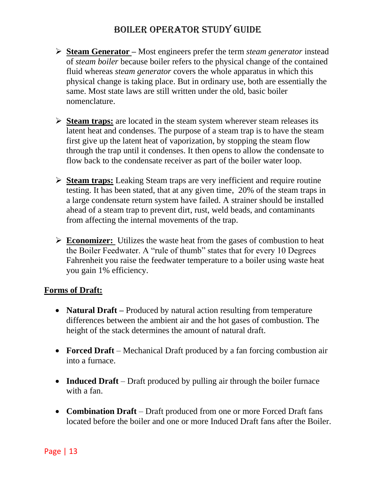- ➢ **Steam Generator –** Most engineers prefer the term *steam generator* instead of *steam boiler* because boiler refers to the physical change of the contained fluid whereas *steam generator* covers the whole apparatus in which this physical change is taking place. But in ordinary use, both are essentially the same. Most state laws are still written under the old, basic boiler nomenclature.
- ➢ **Steam traps:** are located in the steam system wherever steam releases its latent heat and condenses. The purpose of a steam trap is to have the steam first give up the latent heat of vaporization, by stopping the steam flow through the trap until it condenses. It then opens to allow the condensate to flow back to the condensate receiver as part of the boiler water loop.
- ➢ **Steam traps:** Leaking Steam traps are very inefficient and require routine testing. It has been stated, that at any given time, 20% of the steam traps in a large condensate return system have failed. A strainer should be installed ahead of a steam trap to prevent dirt, rust, weld beads, and contaminants from affecting the internal movements of the trap.
- ➢ **Economizer:** Utilizes the waste heat from the gases of combustion to heat the Boiler Feedwater. A "rule of thumb" states that for every 10 Degrees Fahrenheit you raise the feedwater temperature to a boiler using waste heat you gain 1% efficiency.

### **Forms of Draft:**

- **Natural Draft** Produced by natural action resulting from temperature differences between the ambient air and the hot gases of combustion. The height of the stack determines the amount of natural draft.
- **Forced Draft** Mechanical Draft produced by a fan forcing combustion air into a furnace.
- **Induced Draft** Draft produced by pulling air through the boiler furnace with a fan.
- **Combination Draft** Draft produced from one or more Forced Draft fans located before the boiler and one or more Induced Draft fans after the Boiler.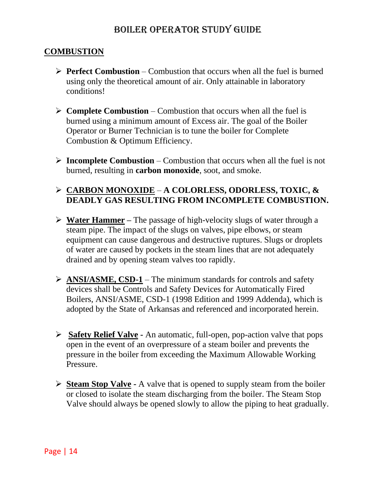### **COMBUSTION**

- ➢ **Perfect Combustion** Combustion that occurs when all the fuel is burned using only the theoretical amount of air. Only attainable in laboratory conditions!
- ➢ **Complete Combustion** Combustion that occurs when all the fuel is burned using a minimum amount of Excess air. The goal of the Boiler Operator or Burner Technician is to tune the boiler for Complete Combustion & Optimum Efficiency.
- ➢ **Incomplete Combustion** Combustion that occurs when all the fuel is not burned, resulting in **carbon monoxide**, soot, and smoke.

### ➢ **CARBON MONOXIDE** – **A COLORLESS, ODORLESS, TOXIC, & DEADLY GAS RESULTING FROM INCOMPLETE COMBUSTION.**

- ➢ **Water Hammer –** The passage of high-velocity slugs of water through a steam pipe. The impact of the slugs on valves, pipe elbows, or steam equipment can cause dangerous and destructive ruptures. Slugs or droplets of water are caused by pockets in the steam lines that are not adequately drained and by opening steam valves too rapidly.
- ➢ **ANSI/ASME, CSD-1** The minimum standards for controls and safety devices shall be Controls and Safety Devices for Automatically Fired Boilers, ANSI/ASME, CSD-1 (1998 Edition and 1999 Addenda), which is adopted by the State of Arkansas and referenced and incorporated herein.
- ➢ **Safety Relief Valve -** An automatic, full-open, pop-action valve that pops open in the event of an overpressure of a steam boiler and prevents the pressure in the boiler from exceeding the Maximum Allowable Working Pressure.
- ➢ **Steam Stop Valve -** A valve that is opened to supply steam from the boiler or closed to isolate the steam discharging from the boiler. The Steam Stop Valve should always be opened slowly to allow the piping to heat gradually.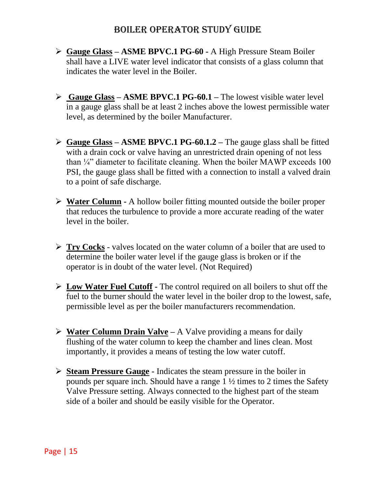- ➢ **Gauge Glass – ASME BPVC.1 PG-60 -** A High Pressure Steam Boiler shall have a LIVE water level indicator that consists of a glass column that indicates the water level in the Boiler.
- ➢ **Gauge Glass – ASME BPVC.1 PG-60.1 –** The lowest visible water level in a gauge glass shall be at least 2 inches above the lowest permissible water level, as determined by the boiler Manufacturer.
- ➢ **Gauge Glass – ASME BPVC.1 PG-60.1.2 –** The gauge glass shall be fitted with a drain cock or valve having an unrestricted drain opening of not less than  $\frac{1}{4}$  diameter to facilitate cleaning. When the boiler MAWP exceeds 100 PSI, the gauge glass shall be fitted with a connection to install a valved drain to a point of safe discharge.
- ➢ **Water Column -** A hollow boiler fitting mounted outside the boiler proper that reduces the turbulence to provide a more accurate reading of the water level in the boiler.
- ➢ **Try Cocks** valves located on the water column of a boiler that are used to determine the boiler water level if the gauge glass is broken or if the operator is in doubt of the water level. (Not Required)
- ➢ **Low Water Fuel Cutoff -** The control required on all boilers to shut off the fuel to the burner should the water level in the boiler drop to the lowest, safe, permissible level as per the boiler manufacturers recommendation.
- ➢ **Water Column Drain Valve –** A Valve providing a means for daily flushing of the water column to keep the chamber and lines clean. Most importantly, it provides a means of testing the low water cutoff.
- ➢ **Steam Pressure Gauge -** Indicates the steam pressure in the boiler in pounds per square inch. Should have a range 1 ½ times to 2 times the Safety Valve Pressure setting. Always connected to the highest part of the steam side of a boiler and should be easily visible for the Operator.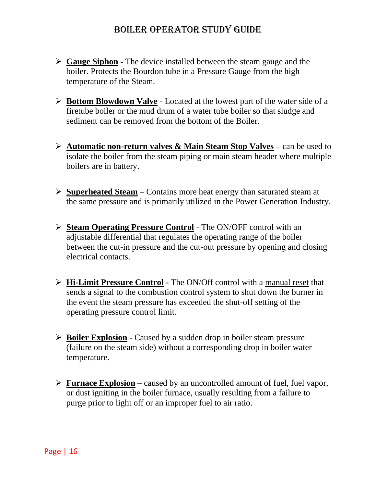- ➢ **Gauge Siphon -** The device installed between the steam gauge and the boiler. Protects the Bourdon tube in a Pressure Gauge from the high temperature of the Steam.
- ➢ **Bottom Blowdown Valve** Located at the lowest part of the water side of a firetube boiler or the mud drum of a water tube boiler so that sludge and sediment can be removed from the bottom of the Boiler.
- ➢ **Automatic non-return valves & Main Steam Stop Valves –** can be used to isolate the boiler from the steam piping or main steam header where multiple boilers are in battery.
- ➢ **Superheated Steam** Contains more heat energy than saturated steam at the same pressure and is primarily utilized in the Power Generation Industry.
- ➢ **Steam Operating Pressure Control** The ON/OFF control with an adjustable differential that regulates the operating range of the boiler between the cut-in pressure and the cut-out pressure by opening and closing electrical contacts.
- ➢ **Hi-Limit Pressure Control -** The ON/Off control with a manual reset that sends a signal to the combustion control system to shut down the burner in the event the steam pressure has exceeded the shut-off setting of the operating pressure control limit.
- ➢ **Boiler Explosion** Caused by a sudden drop in boiler steam pressure (failure on the steam side) without a corresponding drop in boiler water temperature.
- ➢ **Furnace Explosion –** caused by an uncontrolled amount of fuel, fuel vapor, or dust igniting in the boiler furnace, usually resulting from a failure to purge prior to light off or an improper fuel to air ratio.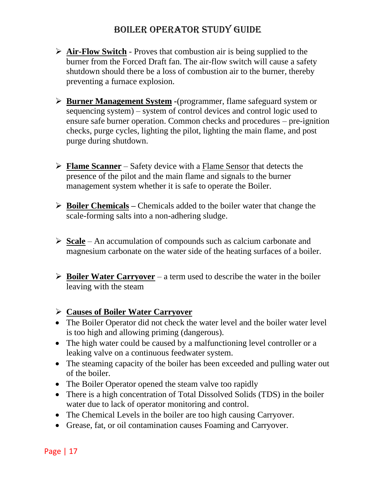- ➢ **Air-Flow Switch** Proves that combustion air is being supplied to the burner from the Forced Draft fan. The air-flow switch will cause a safety shutdown should there be a loss of combustion air to the burner, thereby preventing a furnace explosion.
- ➢ **Burner Management System -**(programmer, flame safeguard system or sequencing system) – system of control devices and control logic used to ensure safe burner operation. Common checks and procedures – pre-ignition checks, purge cycles, lighting the pilot, lighting the main flame, and post purge during shutdown.
- ➢ **Flame Scanner** Safety device with a Flame Sensor that detects the presence of the pilot and the main flame and signals to the burner management system whether it is safe to operate the Boiler.
- ➢ **Boiler Chemicals –** Chemicals added to the boiler water that change the scale-forming salts into a non-adhering sludge.
- ➢ **Scale** An accumulation of compounds such as calcium carbonate and magnesium carbonate on the water side of the heating surfaces of a boiler.
- ➢ **Boiler Water Carryover** a term used to describe the water in the boiler leaving with the steam

### ➢ **Causes of Boiler Water Carryover**

- The Boiler Operator did not check the water level and the boiler water level is too high and allowing priming (dangerous).
- The high water could be caused by a malfunctioning level controller or a leaking valve on a continuous feedwater system.
- The steaming capacity of the boiler has been exceeded and pulling water out of the boiler.
- The Boiler Operator opened the steam valve too rapidly
- There is a high concentration of Total Dissolved Solids (TDS) in the boiler water due to lack of operator monitoring and control.
- The Chemical Levels in the boiler are too high causing Carryover.
- Grease, fat, or oil contamination causes Foaming and Carryover.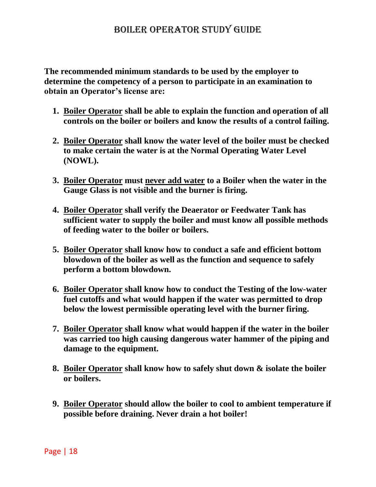**The recommended minimum standards to be used by the employer to determine the competency of a person to participate in an examination to obtain an Operator's license are:** 

- **1. Boiler Operator shall be able to explain the function and operation of all controls on the boiler or boilers and know the results of a control failing.**
- **2. Boiler Operator shall know the water level of the boiler must be checked to make certain the water is at the Normal Operating Water Level (NOWL).**
- **3. Boiler Operator must never add water to a Boiler when the water in the Gauge Glass is not visible and the burner is firing.**
- **4. Boiler Operator shall verify the Deaerator or Feedwater Tank has sufficient water to supply the boiler and must know all possible methods of feeding water to the boiler or boilers.**
- **5. Boiler Operator shall know how to conduct a safe and efficient bottom blowdown of the boiler as well as the function and sequence to safely perform a bottom blowdown.**
- **6. Boiler Operator shall know how to conduct the Testing of the low-water fuel cutoffs and what would happen if the water was permitted to drop below the lowest permissible operating level with the burner firing.**
- **7. Boiler Operator shall know what would happen if the water in the boiler was carried too high causing dangerous water hammer of the piping and damage to the equipment.**
- **8. Boiler Operator shall know how to safely shut down & isolate the boiler or boilers.**
- **9. Boiler Operator should allow the boiler to cool to ambient temperature if possible before draining. Never drain a hot boiler!**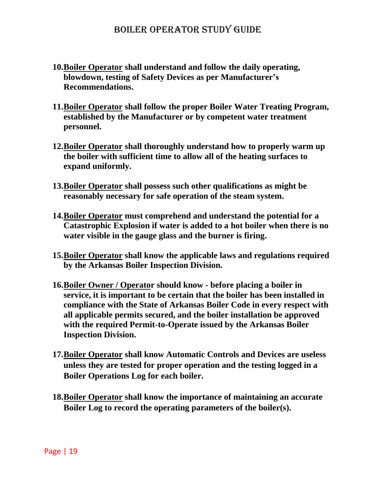- **10.Boiler Operator shall understand and follow the daily operating, blowdown, testing of Safety Devices as per Manufacturer's Recommendations.**
- **11.Boiler Operator shall follow the proper Boiler Water Treating Program, established by the Manufacturer or by competent water treatment personnel.**
- **12.Boiler Operator shall thoroughly understand how to properly warm up the boiler with sufficient time to allow all of the heating surfaces to expand uniformly.**
- **13.Boiler Operator shall possess such other qualifications as might be reasonably necessary for safe operation of the steam system.**
- **14.Boiler Operator must comprehend and understand the potential for a Catastrophic Explosion if water is added to a hot boiler when there is no water visible in the gauge glass and the burner is firing.**
- **15.Boiler Operator shall know the applicable laws and regulations required by the Arkansas Boiler Inspection Division.**
- **16.Boiler Owner / Operator should know - before placing a boiler in service, it is important to be certain that the boiler has been installed in compliance with the State of Arkansas Boiler Code in every respect with all applicable permits secured, and the boiler installation be approved with the required Permit-to-Operate issued by the Arkansas Boiler Inspection Division.**
- **17.Boiler Operator shall know Automatic Controls and Devices are useless unless they are tested for proper operation and the testing logged in a Boiler Operations Log for each boiler.**
- **18.Boiler Operator shall know the importance of maintaining an accurate Boiler Log to record the operating parameters of the boiler(s).**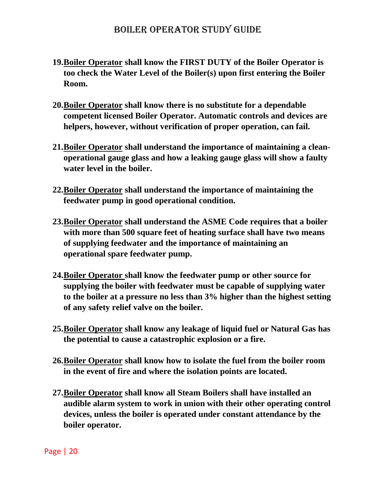- **19.Boiler Operator shall know the FIRST DUTY of the Boiler Operator is too check the Water Level of the Boiler(s) upon first entering the Boiler Room.**
- **20.Boiler Operator shall know there is no substitute for a dependable competent licensed Boiler Operator. Automatic controls and devices are helpers, however, without verification of proper operation, can fail.**
- **21.Boiler Operator shall understand the importance of maintaining a cleanoperational gauge glass and how a leaking gauge glass will show a faulty water level in the boiler.**
- **22.Boiler Operator shall understand the importance of maintaining the feedwater pump in good operational condition.**
- **23.Boiler Operator shall understand the ASME Code requires that a boiler with more than 500 square feet of heating surface shall have two means of supplying feedwater and the importance of maintaining an operational spare feedwater pump.**
- **24.Boiler Operator shall know the feedwater pump or other source for supplying the boiler with feedwater must be capable of supplying water to the boiler at a pressure no less than 3% higher than the highest setting of any safety relief valve on the boiler.**
- **25.Boiler Operator shall know any leakage of liquid fuel or Natural Gas has the potential to cause a catastrophic explosion or a fire.**
- **26.Boiler Operator shall know how to isolate the fuel from the boiler room in the event of fire and where the isolation points are located.**
- **27.Boiler Operator shall know all Steam Boilers shall have installed an audible alarm system to work in union with their other operating control devices, unless the boiler is operated under constant attendance by the boiler operator.**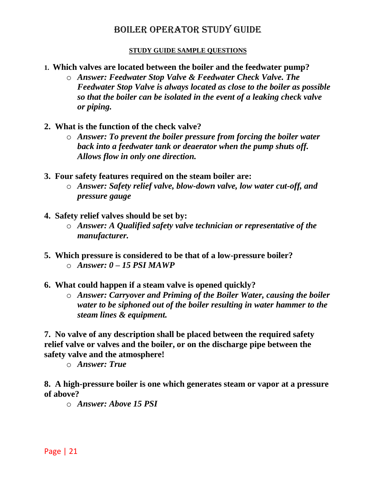#### **STUDY GUIDE SAMPLE QUESTIONS**

- **1. Which valves are located between the boiler and the feedwater pump?** 
	- o *Answer: Feedwater Stop Valve & Feedwater Check Valve. The Feedwater Stop Valve is always located as close to the boiler as possible so that the boiler can be isolated in the event of a leaking check valve or piping.*
- **2. What is the function of the check valve?** 
	- o *Answer: To prevent the boiler pressure from forcing the boiler water back into a feedwater tank or deaerator when the pump shuts off. Allows flow in only one direction.*
- **3. Four safety features required on the steam boiler are:** 
	- o *Answer: Safety relief valve, blow-down valve, low water cut-off, and pressure gauge*
- **4. Safety relief valves should be set by:** 
	- o *Answer: A Qualified safety valve technician or representative of the manufacturer.*
- **5. Which pressure is considered to be that of a low-pressure boiler?**  o *Answer: 0 – 15 PSI MAWP*
- **6. What could happen if a steam valve is opened quickly?** 
	- o *Answer: Carryover and Priming of the Boiler Water, causing the boiler water to be siphoned out of the boiler resulting in water hammer to the steam lines & equipment.*

**7. No valve of any description shall be placed between the required safety relief valve or valves and the boiler, or on the discharge pipe between the safety valve and the atmosphere!**

o *Answer: True*

**8. A high-pressure boiler is one which generates steam or vapor at a pressure of above?** 

o *Answer: Above 15 PSI*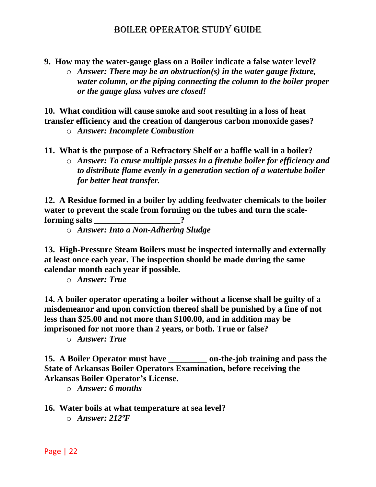- **9. How may the water-gauge glass on a Boiler indicate a false water level?**
	- o *Answer: There may be an obstruction(s) in the water gauge fixture, water column, or the piping connecting the column to the boiler proper or the gauge glass valves are closed!*

**10. What condition will cause smoke and soot resulting in a loss of heat transfer efficiency and the creation of dangerous carbon monoxide gases?** 

- o *Answer: Incomplete Combustion*
- **11. What is the purpose of a Refractory Shelf or a baffle wall in a boiler?** 
	- o *Answer: To cause multiple passes in a firetube boiler for efficiency and to distribute flame evenly in a generation section of a watertube boiler for better heat transfer.*

**12. A Residue formed in a boiler by adding feedwater chemicals to the boiler water to prevent the scale from forming on the tubes and turn the scaleforming salts** 2

o *Answer: Into a Non-Adhering Sludge*

**13. High-Pressure Steam Boilers must be inspected internally and externally at least once each year. The inspection should be made during the same calendar month each year if possible.**

o *Answer: True*

**14. A boiler operator operating a boiler without a license shall be guilty of a misdemeanor and upon conviction thereof shall be punished by a fine of not less than \$25.00 and not more than \$100.00, and in addition may be imprisoned for not more than 2 years, or both. True or false?** 

o *Answer: True* 

**15. A Boiler Operator must have \_\_\_\_\_\_\_\_\_ on-the-job training and pass the State of Arkansas Boiler Operators Examination, before receiving the Arkansas Boiler Operator's License.** 

o *Answer: 6 months* 

**16. Water boils at what temperature at sea level?**  o *Answer: 212ºF*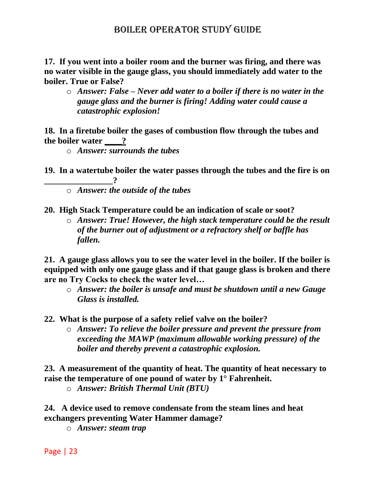**17. If you went into a boiler room and the burner was firing, and there was no water visible in the gauge glass, you should immediately add water to the boiler. True or False?** 

o *Answer: False – Never add water to a boiler if there is no water in the gauge glass and the burner is firing! Adding water could cause a catastrophic explosion!*

**18. In a firetube boiler the gases of combustion flow through the tubes and the boiler water \_\_\_\_?**

o *Answer: surrounds the tubes*

**19. In a watertube boiler the water passes through the tubes and the fire is on \_\_\_\_\_\_\_\_\_\_\_\_\_\_\_\_?**

o *Answer: the outside of the tubes*

**20. High Stack Temperature could be an indication of scale or soot?**

o *Answer: True! However, the high stack temperature could be the result of the burner out of adjustment or a refractory shelf or baffle has fallen.*

**21. A gauge glass allows you to see the water level in the boiler. If the boiler is equipped with only one gauge glass and if that gauge glass is broken and there are no Try Cocks to check the water level…** 

o *Answer: the boiler is unsafe and must be shutdown until a new Gauge Glass is installed.*

**22. What is the purpose of a safety relief valve on the boiler?** 

o *Answer: To relieve the boiler pressure and prevent the pressure from exceeding the MAWP (maximum allowable working pressure) of the boiler and thereby prevent a catastrophic explosion.* 

**23. A measurement of the quantity of heat. The quantity of heat necessary to raise the temperature of one pound of water by 1° Fahrenheit.** 

o *Answer: British Thermal Unit (BTU)*

**24. A device used to remove condensate from the steam lines and heat exchangers preventing Water Hammer damage?**

o *Answer: steam trap*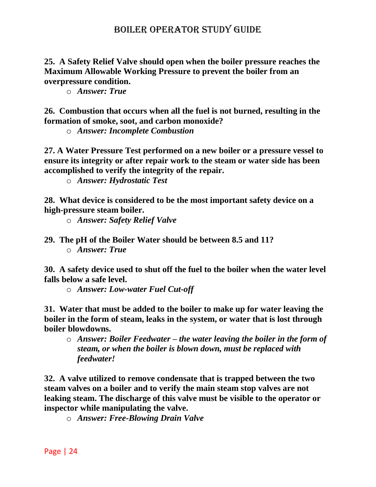**25. A Safety Relief Valve should open when the boiler pressure reaches the Maximum Allowable Working Pressure to prevent the boiler from an overpressure condition.**

o *Answer: True*

**26. Combustion that occurs when all the fuel is not burned, resulting in the formation of smoke, soot, and carbon monoxide?**

o *Answer: Incomplete Combustion*

**27. A Water Pressure Test performed on a new boiler or a pressure vessel to ensure its integrity or after repair work to the steam or water side has been accomplished to verify the integrity of the repair.**

o *Answer: Hydrostatic Test*

**28. What device is considered to be the most important safety device on a high-pressure steam boiler.** 

o *Answer: Safety Relief Valve*

**29. The pH of the Boiler Water should be between 8.5 and 11?** o *Answer: True*

**30. A safety device used to shut off the fuel to the boiler when the water level falls below a safe level.** 

o *Answer: Low-water Fuel Cut-off* 

**31. Water that must be added to the boiler to make up for water leaving the boiler in the form of steam, leaks in the system, or water that is lost through boiler blowdowns.**

o *Answer: Boiler Feedwater – the water leaving the boiler in the form of steam, or when the boiler is blown down, must be replaced with feedwater!*

**32. A valve utilized to remove condensate that is trapped between the two steam valves on a boiler and to verify the main steam stop valves are not leaking steam. The discharge of this valve must be visible to the operator or inspector while manipulating the valve.**

o *Answer: Free-Blowing Drain Valve*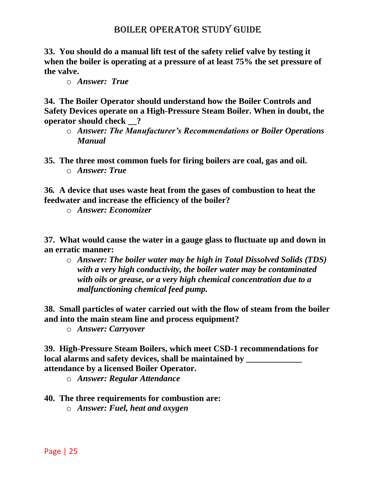**33. You should do a manual lift test of the safety relief valve by testing it when the boiler is operating at a pressure of at least 75% the set pressure of the valve.**

o *Answer: True*

**34. The Boiler Operator should understand how the Boiler Controls and Safety Devices operate on a High-Pressure Steam Boiler. When in doubt, the operator should check \_\_?**

- o *Answer: The Manufacturer's Recommendations or Boiler Operations Manual*
- **35. The three most common fuels for firing boilers are coal, gas and oil.**  o *Answer: True*

**36***.* **A device that uses waste heat from the gases of combustion to heat the feedwater and increase the efficiency of the boiler?**

o *Answer: Economizer*

**37. What would cause the water in a gauge glass to fluctuate up and down in an erratic manner:**

o *Answer: The boiler water may be high in Total Dissolved Solids (TDS) with a very high conductivity, the boiler water may be contaminated with oils or grease, or a very high chemical concentration due to a malfunctioning chemical feed pump.*

**38. Small particles of water carried out with the flow of steam from the boiler and into the main steam line and process equipment?**

o *Answer: Carryover*

**39. High-Pressure Steam Boilers, which meet CSD-1 recommendations for local alarms and safety devices, shall be maintained by**  $\blacksquare$ **attendance by a licensed Boiler Operator.**

o *Answer: Regular Attendance* 

#### **40. The three requirements for combustion are:**

o *Answer: Fuel, heat and oxygen*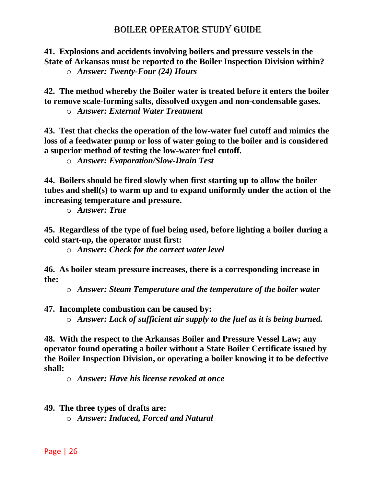**41. Explosions and accidents involving boilers and pressure vessels in the State of Arkansas must be reported to the Boiler Inspection Division within?** o *Answer: Twenty-Four (24) Hours*

**42. The method whereby the Boiler water is treated before it enters the boiler to remove scale-forming salts, dissolved oxygen and non-condensable gases.** 

o *Answer: External Water Treatment*

**43. Test that checks the operation of the low-water fuel cutoff and mimics the loss of a feedwater pump or loss of water going to the boiler and is considered a superior method of testing the low-water fuel cutoff.**

o *Answer: Evaporation/Slow-Drain Test*

**44. Boilers should be fired slowly when first starting up to allow the boiler tubes and shell(s) to warm up and to expand uniformly under the action of the increasing temperature and pressure.**

o *Answer: True*

**45. Regardless of the type of fuel being used, before lighting a boiler during a cold start-up, the operator must first:** 

o *Answer: Check for the correct water level* 

**46. As boiler steam pressure increases, there is a corresponding increase in the:** 

o *Answer: Steam Temperature and the temperature of the boiler water*

**47. Incomplete combustion can be caused by:** 

o *Answer: Lack of sufficient air supply to the fuel as it is being burned.* 

**48. With the respect to the Arkansas Boiler and Pressure Vessel Law; any operator found operating a boiler without a State Boiler Certificate issued by the Boiler Inspection Division, or operating a boiler knowing it to be defective shall:** 

o *Answer: Have his license revoked at once* 

**49. The three types of drafts are:** 

o *Answer: Induced, Forced and Natural*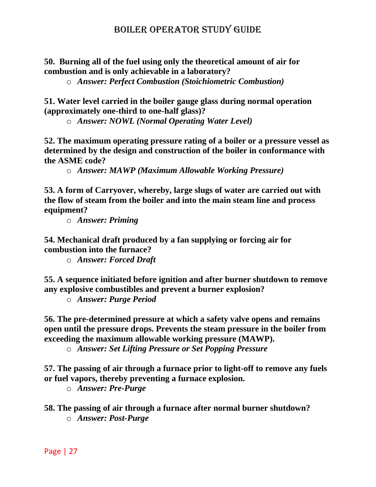**50. Burning all of the fuel using only the theoretical amount of air for combustion and is only achievable in a laboratory?** 

o *Answer: Perfect Combustion (Stoichiometric Combustion)*

**51. Water level carried in the boiler gauge glass during normal operation (approximately one-third to one-half glass)?**

o *Answer: NOWL (Normal Operating Water Level)*

**52. The maximum operating pressure rating of a boiler or a pressure vessel as determined by the design and construction of the boiler in conformance with the ASME code?**

o *Answer: MAWP (Maximum Allowable Working Pressure)*

**53. A form of Carryover, whereby, large slugs of water are carried out with the flow of steam from the boiler and into the main steam line and process equipment?**

o *Answer: Priming*

**54. Mechanical draft produced by a fan supplying or forcing air for combustion into the furnace?**

o *Answer: Forced Draft*

**55. A sequence initiated before ignition and after burner shutdown to remove any explosive combustibles and prevent a burner explosion?**

o *Answer: Purge Period*

**56. The pre-determined pressure at which a safety valve opens and remains open until the pressure drops. Prevents the steam pressure in the boiler from exceeding the maximum allowable working pressure (MAWP).**

o *Answer: Set Lifting Pressure or Set Popping Pressure*

**57. The passing of air through a furnace prior to light-off to remove any fuels or fuel vapors, thereby preventing a furnace explosion.**

o *Answer: Pre-Purge*

**58. The passing of air through a furnace after normal burner shutdown?** o *Answer: Post-Purge*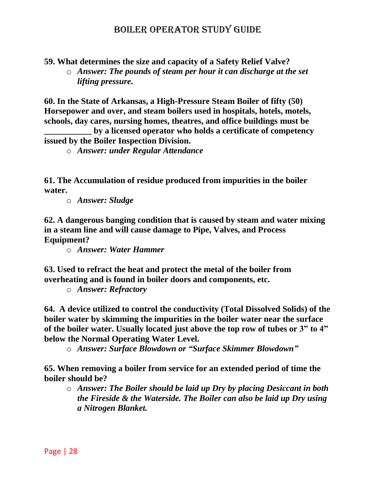**59. What determines the size and capacity of a Safety Relief Valve?**

o *Answer: The pounds of steam per hour it can discharge at the set lifting pressure.* 

**60. In the State of Arkansas, a High-Pressure Steam Boiler of fifty (50) Horsepower and over, and steam boilers used in hospitals, hotels, motels, schools, day cares, nursing homes, theatres, and office buildings must be** 

**\_\_\_\_\_\_\_\_\_\_\_ by a licensed operator who holds a certificate of competency issued by the Boiler Inspection Division.** 

o *Answer: under Regular Attendance*

**61. The Accumulation of residue produced from impurities in the boiler water.** 

o *Answer: Sludge*

**62. A dangerous banging condition that is caused by steam and water mixing in a steam line and will cause damage to Pipe, Valves, and Process Equipment?**

o *Answer: Water Hammer*

**63. Used to refract the heat and protect the metal of the boiler from overheating and is found in boiler doors and components, etc.**

o *Answer: Refractory*

**64. A device utilized to control the conductivity (Total Dissolved Solids) of the boiler water by skimming the impurities in the boiler water near the surface of the boiler water. Usually located just above the top row of tubes or 3" to 4" below the Normal Operating Water Level.**

o *Answer: Surface Blowdown or "Surface Skimmer Blowdown"*

**65. When removing a boiler from service for an extended period of time the boiler should be?** 

o *Answer: The Boiler should be laid up Dry by placing Desiccant in both the Fireside & the Waterside. The Boiler can also be laid up Dry using a Nitrogen Blanket.*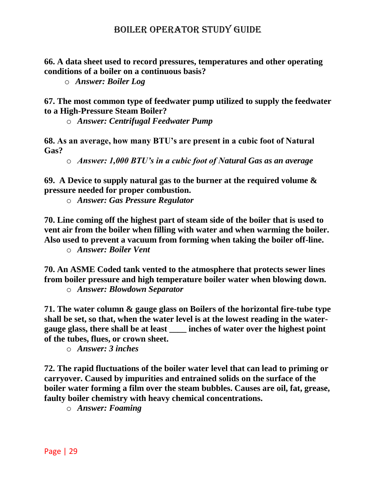**66. A data sheet used to record pressures, temperatures and other operating conditions of a boiler on a continuous basis?**

o *Answer: Boiler Log*

**67. The most common type of feedwater pump utilized to supply the feedwater to a High-Pressure Steam Boiler?**

o *Answer: Centrifugal Feedwater Pump*

**68. As an average, how many BTU's are present in a cubic foot of Natural Gas?**

o *Answer: 1,000 BTU's in a cubic foot of Natural Gas as an average*

**69. A Device to supply natural gas to the burner at the required volume & pressure needed for proper combustion.**

o *Answer: Gas Pressure Regulator*

**70. Line coming off the highest part of steam side of the boiler that is used to vent air from the boiler when filling with water and when warming the boiler. Also used to prevent a vacuum from forming when taking the boiler off-line.** 

o *Answer: Boiler Vent*

**70. An ASME Coded tank vented to the atmosphere that protects sewer lines from boiler pressure and high temperature boiler water when blowing down.** 

o *Answer: Blowdown Separator* 

**71. The water column & gauge glass on Boilers of the horizontal fire-tube type shall be set, so that, when the water level is at the lowest reading in the watergauge glass, there shall be at least \_\_\_\_ inches of water over the highest point of the tubes, flues, or crown sheet.**

o *Answer: 3 inches*

**72. The rapid fluctuations of the boiler water level that can lead to priming or carryover. Caused by impurities and entrained solids on the surface of the boiler water forming a film over the steam bubbles. Causes are oil, fat, grease, faulty boiler chemistry with heavy chemical concentrations.**

o *Answer: Foaming*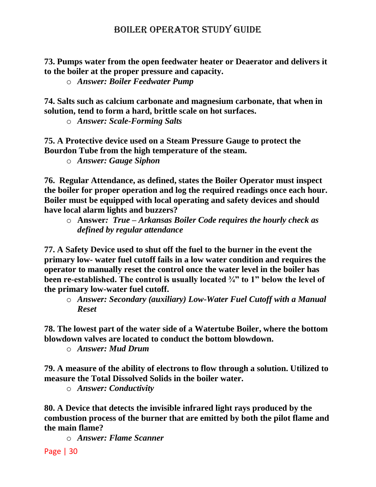**73. Pumps water from the open feedwater heater or Deaerator and delivers it to the boiler at the proper pressure and capacity.**

o *Answer: Boiler Feedwater Pump*

**74. Salts such as calcium carbonate and magnesium carbonate, that when in solution, tend to form a hard, brittle scale on hot surfaces.** 

o *Answer: Scale-Forming Salts*

**75. A Protective device used on a Steam Pressure Gauge to protect the Bourdon Tube from the high temperature of the steam.**

o *Answer: Gauge Siphon*

**76. Regular Attendance, as defined, states the Boiler Operator must inspect the boiler for proper operation and log the required readings once each hour. Boiler must be equipped with local operating and safety devices and should have local alarm lights and buzzers?**

o **Answer***: True – Arkansas Boiler Code requires the hourly check as defined by regular attendance*

**77. A Safety Device used to shut off the fuel to the burner in the event the primary low- water fuel cutoff fails in a low water condition and requires the operator to manually reset the control once the water level in the boiler has been re-established. The control is usually located ¾" to 1" below the level of the primary low-water fuel cutoff.**

o *Answer: Secondary (auxiliary) Low-Water Fuel Cutoff with a Manual Reset* 

**78. The lowest part of the water side of a Watertube Boiler, where the bottom blowdown valves are located to conduct the bottom blowdown.**

o *Answer: Mud Drum*

**79. A measure of the ability of electrons to flow through a solution. Utilized to measure the Total Dissolved Solids in the boiler water.**

o *Answer: Conductivity* 

**80. A Device that detects the invisible infrared light rays produced by the combustion process of the burner that are emitted by both the pilot flame and the main flame?**

o *Answer: Flame Scanner*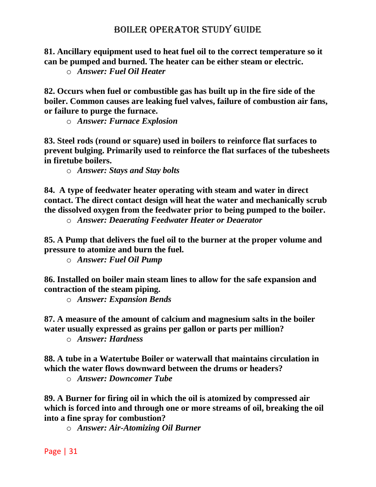**81. Ancillary equipment used to heat fuel oil to the correct temperature so it can be pumped and burned. The heater can be either steam or electric.**

o *Answer: Fuel Oil Heater* 

**82. Occurs when fuel or combustible gas has built up in the fire side of the boiler. Common causes are leaking fuel valves, failure of combustion air fans, or failure to purge the furnace.** 

o *Answer: Furnace Explosion* 

**83. Steel rods (round or square) used in boilers to reinforce flat surfaces to prevent bulging. Primarily used to reinforce the flat surfaces of the tubesheets in firetube boilers.**

o *Answer: Stays and Stay bolts*

**84. A type of feedwater heater operating with steam and water in direct contact. The direct contact design will heat the water and mechanically scrub the dissolved oxygen from the feedwater prior to being pumped to the boiler.** 

o *Answer: Deaerating Feedwater Heater or Deaerator* 

**85. A Pump that delivers the fuel oil to the burner at the proper volume and pressure to atomize and burn the fuel.**

o *Answer: Fuel Oil Pump*

**86. Installed on boiler main steam lines to allow for the safe expansion and contraction of the steam piping.** 

o *Answer: Expansion Bends*

**87. A measure of the amount of calcium and magnesium salts in the boiler water usually expressed as grains per gallon or parts per million?**

o *Answer: Hardness*

**88. A tube in a Watertube Boiler or waterwall that maintains circulation in which the water flows downward between the drums or headers?**

o *Answer: Downcomer Tube*

**89. A Burner for firing oil in which the oil is atomized by compressed air which is forced into and through one or more streams of oil, breaking the oil into a fine spray for combustion?**

o *Answer: Air-Atomizing Oil Burner*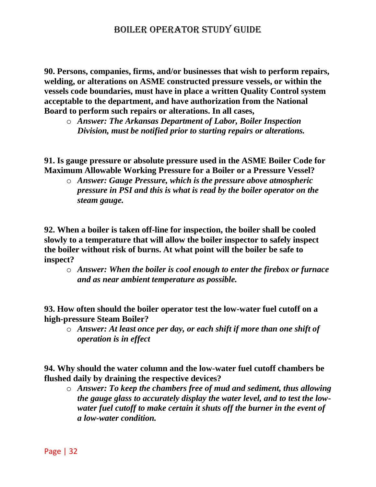**90. Persons, companies, firms, and/or businesses that wish to perform repairs, welding, or alterations on ASME constructed pressure vessels, or within the vessels code boundaries, must have in place a written Quality Control system acceptable to the department, and have authorization from the National Board to perform such repairs or alterations. In all cases,** 

o *Answer: The Arkansas Department of Labor, Boiler Inspection Division, must be notified prior to starting repairs or alterations.*

**91. Is gauge pressure or absolute pressure used in the ASME Boiler Code for Maximum Allowable Working Pressure for a Boiler or a Pressure Vessel?**

o *Answer: Gauge Pressure, which is the pressure above atmospheric pressure in PSI and this is what is read by the boiler operator on the steam gauge.*

**92. When a boiler is taken off-line for inspection, the boiler shall be cooled slowly to a temperature that will allow the boiler inspector to safely inspect the boiler without risk of burns. At what point will the boiler be safe to inspect?** 

o *Answer: When the boiler is cool enough to enter the firebox or furnace and as near ambient temperature as possible.*

**93. How often should the boiler operator test the low-water fuel cutoff on a high-pressure Steam Boiler?** 

o *Answer: At least once per day, or each shift if more than one shift of operation is in effect*

**94. Why should the water column and the low-water fuel cutoff chambers be flushed daily by draining the respective devices?**

o *Answer: To keep the chambers free of mud and sediment, thus allowing the gauge glass to accurately display the water level, and to test the lowwater fuel cutoff to make certain it shuts off the burner in the event of a low-water condition.*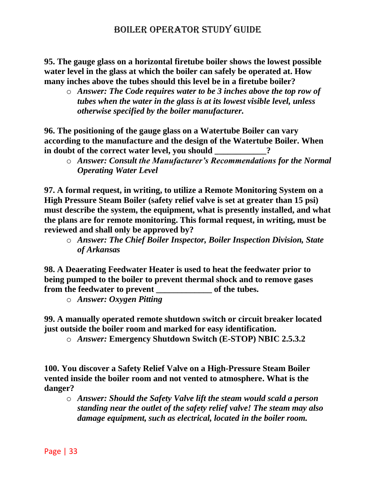**95. The gauge glass on a horizontal firetube boiler shows the lowest possible water level in the glass at which the boiler can safely be operated at. How many inches above the tubes should this level be in a firetube boiler?** 

o *Answer: The Code requires water to be 3 inches above the top row of tubes when the water in the glass is at its lowest visible level, unless otherwise specified by the boiler manufacturer.*

**96. The positioning of the gauge glass on a Watertube Boiler can vary according to the manufacture and the design of the Watertube Boiler. When**  in doubt of the correct water level, you should

o *Answer: Consult the Manufacturer's Recommendations for the Normal Operating Water Level*

**97. A formal request, in writing, to utilize a Remote Monitoring System on a High Pressure Steam Boiler (safety relief valve is set at greater than 15 psi) must describe the system, the equipment, what is presently installed, and what the plans are for remote monitoring. This formal request, in writing, must be reviewed and shall only be approved by?**

o *Answer: The Chief Boiler Inspector, Boiler Inspection Division, State of Arkansas*

**98. A Deaerating Feedwater Heater is used to heat the feedwater prior to being pumped to the boiler to prevent thermal shock and to remove gases**  from the feedwater to prevent **the set of the tubes.** 

o *Answer: Oxygen Pitting*

**99. A manually operated remote shutdown switch or circuit breaker located just outside the boiler room and marked for easy identification.**

o *Answer:* **Emergency Shutdown Switch (E-STOP) NBIC 2.5.3.2**

**100. You discover a Safety Relief Valve on a High-Pressure Steam Boiler vented inside the boiler room and not vented to atmosphere. What is the danger?**

o *Answer: Should the Safety Valve lift the steam would scald a person standing near the outlet of the safety relief valve! The steam may also damage equipment, such as electrical, located in the boiler room.*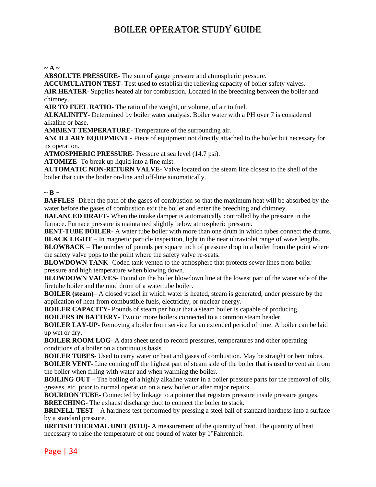#### $\sim$  A  $\sim$

**ABSOLUTE PRESSURE**- The sum of gauge pressure and atmospheric pressure.

**ACCUMULATION TEST**- Test used to establish the relieving capacity of boiler safety valves.

**AIR HEATER**- Supplies heated air for combustion. Located in the breeching between the boiler and chimney.

**AIR TO FUEL RATIO**- The ratio of the weight, or volume, of air to fuel.

**ALKALINITY**- Determined by boiler water analysis. Boiler water with a PH over 7 is considered alkaline or base.

**AMBIENT TEMPERATURE**- Temperature of the surrounding air.

**ANCILLARY EQUIPMENT** - Piece of equipment not directly attached to the boiler but necessary for its operation.

**ATMOSPHERIC PRESSURE**- Pressure at sea level (14.7 psi).

**ATOMIZE**- To break up liquid into a fine mist.

**AUTOMATIC NON-RETURN VALVE**- Valve located on the steam line closest to the shell of the boiler that cuts the boiler on-line and off-line automatically.

#### $\sim$ **B**  $\sim$

**BAFFLES**- Direct the path of the gases of combustion so that the maximum heat will be absorbed by the water before the gases of combustion exit the boiler and enter the breeching and chimney.

**BALANCED DRAFT**- When the intake damper is automatically controlled by the pressure in the furnace. Furnace pressure is maintained slightly below atmospheric pressure.

**BENT-TUBE BOILER**- A water tube boiler with more than one drum in which tubes connect the drums. **BLACK LIGHT** – In magnetic particle inspection, light in the near ultraviolet range of wave lengths.

**BLOWBACK** – The number of pounds per square inch of pressure drop in a boiler from the point where the safety valve pops to the point where the safety valve re-seats.

**BLOWDOWN TANK**- Coded tank vented to the atmosphere that protects sewer lines from boiler pressure and high temperature when blowing down.

**BLOWDOWN VALVES**- Found on the boiler blowdown line at the lowest part of the water side of the firetube boiler and the mud drum of a watertube boiler.

**BOILER (steam)**– A closed vessel in which water is heated, steam is generated, under pressure by the application of heat from combustible fuels, electricity, or nuclear energy.

**BOILER CAPACITY**- Pounds of steam per hour that a steam boiler is capable of producing.

**BOILERS IN BATTERY**- Two or more boilers connected to a common steam header.

**BOILER LAY-UP**- Removing a boiler from service for an extended period of time. A boiler can be laid up wet or dry.

**BOILER ROOM LOG**- A data sheet used to record pressures, temperatures and other operating conditions of a boiler on a continuous basis.

**BOILER TUBES**- Used to carry water or heat and gases of combustion. May be straight or bent tubes. **BOILER VENT**- Line coming off the highest part of steam side of the boiler that is used to vent air from the boiler when filling with water and when warming the boiler.

**BOILING OUT** – The boiling of a highly alkaline water in a boiler pressure parts for the removal of oils, greases, etc. prior to normal operation on a new boiler or after major repairs.

**BOURDON TUBE**- Connected by linkage to a pointer that registers pressure inside pressure gauges. **BREECHING**- The exhaust discharge duct to connect the boiler to stack.

**BRINELL TEST** – A hardness test performed by pressing a steel ball of standard hardness into a surface by a standard pressure.

**BRITISH THERMAL UNIT (BTU)**- A measurement of the quantity of heat. The quantity of heat necessary to raise the temperature of one pound of water by 1°Fahrenheit.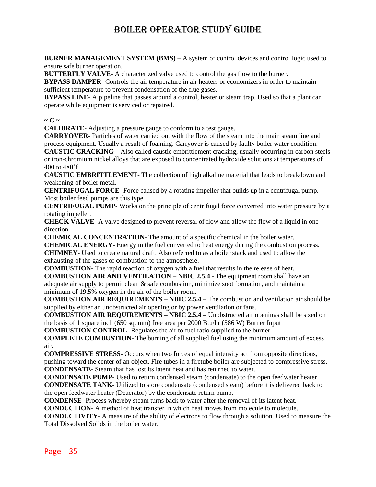**BURNER MANAGEMENT SYSTEM (BMS)** – A system of control devices and control logic used to ensure safe burner operation.

**BUTTERFLY VALVE-** A characterized valve used to control the gas flow to the burner.

**BYPASS DAMPER**- Controls the air temperature in air heaters or economizers in order to maintain sufficient temperature to prevent condensation of the flue gases.

**BYPASS LINE**- A pipeline that passes around a control, heater or steam trap. Used so that a plant can operate while equipment is serviced or repaired.

#### $\sim$  **C**  $\sim$

**CALIBRATE**- Adjusting a pressure gauge to conform to a test gauge.

**CARRYOVER**- Particles of water carried out with the flow of the steam into the main steam line and process equipment. Usually a result of foaming. Carryover is caused by faulty boiler water condition. **CAUSTIC CRACKING** – Also called caustic embrittlement cracking, usually occurring in carbon steels or iron-chromium nickel alloys that are exposed to concentrated hydroxide solutions at temperatures of 400 to 480˚f

**CAUSTIC EMBRITTLEMENT**- The collection of high alkaline material that leads to breakdown and weakening of boiler metal.

**CENTRIFUGAL FORCE**- Force caused by a rotating impeller that builds up in a centrifugal pump. Most boiler feed pumps are this type.

**CENTRIFUGAL PUMP**- Works on the principle of centrifugal force converted into water pressure by a rotating impeller.

**CHECK VALVE**- A valve designed to prevent reversal of flow and allow the flow of a liquid in one direction.

**CHEMICAL CONCENTRATION**- The amount of a specific chemical in the boiler water.

**CHEMICAL ENERGY**- Energy in the fuel converted to heat energy during the combustion process.

**CHIMNEY**- Used to create natural draft. Also referred to as a boiler stack and used to allow the exhausting of the gases of combustion to the atmosphere.

**COMBUSTION**- The rapid reaction of oxygen with a fuel that results in the release of heat.

**COMBUSTION AIR AND VENTILATION – NBIC 2.5.4** - The equipment room shall have an adequate air supply to permit clean & safe combustion, minimize soot formation, and maintain a minimum of 19.5% oxygen in the air of the boiler room.

**COMBUSTION AIR REQUIREMENTS – NBIC 2.5.4 –** The combustion and ventilation air should be supplied by either an unobstructed air opening or by power ventilation or fans.

**COMBUSTION AIR REQUIREMENTS – NBIC 2.5.4 –** Unobstructed air openings shall be sized on the basis of 1 square inch (650 sq. mm) free area per 2000 Btu/hr (586 W) Burner Input

**COMBUSTION CONTROL**- Regulates the air to fuel ratio supplied to the burner.

**COMPLETE COMBUSTION**- The burning of all supplied fuel using the minimum amount of excess air.

**COMPRESSIVE STRESS**- Occurs when two forces of equal intensity act from opposite directions, pushing toward the center of an object. Fire tubes in a firetube boiler are subjected to compressive stress. **CONDENSATE**- Steam that has lost its latent heat and has returned to water.

**CONDENSATE PUMP**- Used to return condensed steam (condensate) to the open feedwater heater.

**CONDENSATE TANK**- Utilized to store condensate (condensed steam) before it is delivered back to the open feedwater heater (Deaerator) by the condensate return pump.

**CONDENSE**- Process whereby steam turns back to water after the removal of its latent heat.

**CONDUCTION**- A method of heat transfer in which heat moves from molecule to molecule.

**CONDUCTIVITY**- A measure of the ability of electrons to flow through a solution. Used to measure the Total Dissolved Solids in the boiler water.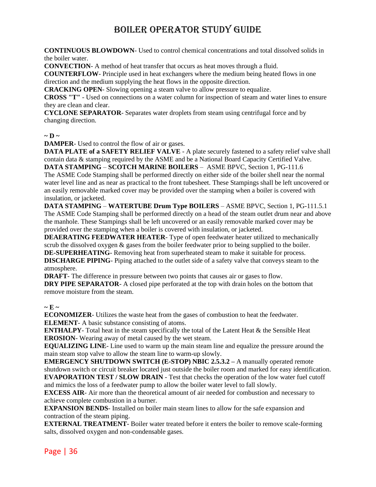**CONTINUOUS BLOWDOWN**- Used to control chemical concentrations and total dissolved solids in the boiler water.

**CONVECTION**- A method of heat transfer that occurs as heat moves through a fluid.

**COUNTERFLOW**- Principle used in heat exchangers where the medium being heated flows in one direction and the medium supplying the heat flows in the opposite direction.

**CRACKING OPEN**- Slowing opening a steam valve to allow pressure to equalize.

**CROSS "T"** - Used on connections on a water column for inspection of steam and water lines to ensure they are clean and clear.

**CYCLONE SEPARATOR**- Separates water droplets from steam using centrifugal force and by changing direction.

#### $\sim$ **D**  $\sim$

**DAMPER**- Used to control the flow of air or gases.

**DATA PLATE of a SAFETY RELIEF VALVE** - A plate securely fastened to a safety relief valve shall contain data & stamping required by the ASME and be a National Board Capacity Certified Valve.

**DATA STAMPING** – **SCOTCH MARINE BOILERS** – ASME BPVC, Section 1, PG-111.6 The ASME Code Stamping shall be performed directly on either side of the boiler shell near the normal water level line and as near as practical to the front tubesheet. These Stampings shall be left uncovered or an easily removable marked cover may be provided over the stamping when a boiler is covered with insulation, or jacketed.

**DATA STAMPING** – **WATERTUBE Drum Type BOILERS** – ASME BPVC, Section 1, PG-111.5.1 The ASME Code Stamping shall be performed directly on a head of the steam outlet drum near and above the manhole. These Stampings shall be left uncovered or an easily removable marked cover may be provided over the stamping when a boiler is covered with insulation, or jacketed.

**DEAERATING FEEDWATER HEATER**- Type of open feedwater heater utilized to mechanically scrub the dissolved oxygen & gases from the boiler feedwater prior to being supplied to the boiler. **DE-SUPERHEATING**- Removing heat from superheated steam to make it suitable for process.

**DISCHARGE PIPING**- Piping attached to the outlet side of a safety valve that conveys steam to the atmosphere.

**DRAFT**- The difference in pressure between two points that causes air or gases to flow.

**DRY PIPE SEPARATOR-** A closed pipe perforated at the top with drain holes on the bottom that remove moisture from the steam.

#### $\sim$ **E**  $\sim$

**ECONOMIZER**- Utilizes the waste heat from the gases of combustion to heat the feedwater. **ELEMENT**- A basic substance consisting of atoms.

**ENTHALPY**- Total heat in the steam specifically the total of the Latent Heat  $\&$  the Sensible Heat **EROSION**- Wearing away of metal caused by the wet steam.

**EQUALIZING LINE**- Line used to warm up the main steam line and equalize the pressure around the main steam stop valve to allow the steam line to warm-up slowly.

**EMERGENCY SHUTDOWN SWITCH (E-STOP) NBIC 2.5.3.2 – A manually operated remote** shutdown switch or circuit breaker located just outside the boiler room and marked for easy identification. **EVAPORATION TEST / SLOW DRAIN** - Test that checks the operation of the low water fuel cutoff

and mimics the loss of a feedwater pump to allow the boiler water level to fall slowly. **EXCESS AIR**- Air more than the theoretical amount of air needed for combustion and necessary to achieve complete combustion in a burner.

**EXPANSION BENDS**- Installed on boiler main steam lines to allow for the safe expansion and contraction of the steam piping.

**EXTERNAL TREATMENT**- Boiler water treated before it enters the boiler to remove scale-forming salts, dissolved oxygen and non-condensable gases.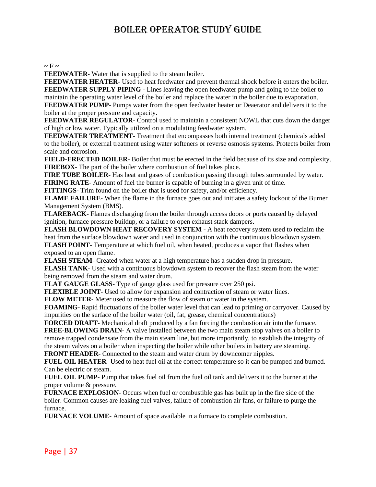#### $\sim$ **F**  $\sim$

**FEEDWATER**- Water that is supplied to the steam boiler.

**FEEDWATER HEATER**- Used to heat feedwater and prevent thermal shock before it enters the boiler. **FEEDWATER SUPPLY PIPING** - Lines leaving the open feedwater pump and going to the boiler to maintain the operating water level of the boiler and replace the water in the boiler due to evaporation. **FEEDWATER PUMP**- Pumps water from the open feedwater heater or Deaerator and delivers it to the

boiler at the proper pressure and capacity.

**FEEDWATER REGULATOR**- Control used to maintain a consistent NOWL that cuts down the danger of high or low water. Typically utilized on a modulating feedwater system.

**FEEDWATER TREATMENT**- Treatment that encompasses both internal treatment (chemicals added to the boiler), or external treatment using water softeners or reverse osmosis systems. Protects boiler from scale and corrosion.

**FIELD-ERECTED BOILER**- Boiler that must be erected in the field because of its size and complexity. **FIREBOX**- The part of the boiler where combustion of fuel takes place.

**FIRE TUBE BOILER-** Has heat and gases of combustion passing through tubes surrounded by water.

**FIRING RATE**- Amount of fuel the burner is capable of burning in a given unit of time.

**FITTINGS**- Trim found on the boiler that is used for safety, and/or efficiency.

**FLAME FAILURE**- When the flame in the furnace goes out and initiates a safety lockout of the Burner Management System (BMS).

**FLAREBACK**- Flames discharging from the boiler through access doors or ports caused by delayed ignition, furnace pressure buildup, or a failure to open exhaust stack dampers.

**FLASH BLOWDOWN HEAT RECOVERY SYSTEM** - A heat recovery system used to reclaim the heat from the surface blowdown water and used in conjunction with the continuous blowdown system. **FLASH POINT**- Temperature at which fuel oil, when heated, produces a vapor that flashes when exposed to an open flame.

**FLASH STEAM**- Created when water at a high temperature has a sudden drop in pressure.

**FLASH TANK**- Used with a continuous blowdown system to recover the flash steam from the water being removed from the steam and water drum.

**FLAT GAUGE GLASS**- Type of gauge glass used for pressure over 250 psi.

**FLEXIBLE JOINT**- Used to allow for expansion and contraction of steam or water lines.

**FLOW METER**- Meter used to measure the flow of steam or water in the system.

**FOAMING**- Rapid fluctuations of the boiler water level that can lead to priming or carryover. Caused by impurities on the surface of the boiler water (oil, fat, grease, chemical concentrations)

**FORCED DRAFT**- Mechanical draft produced by a fan forcing the combustion air into the furnace. **FREE-BLOWING DRAIN**- A valve installed between the two main steam stop valves on a boiler to remove trapped condensate from the main steam line, but more importantly, to establish the integrity of the steam valves on a boiler when inspecting the boiler while other boilers in battery are steaming.

**FRONT HEADER**- Connected to the steam and water drum by downcomer nipples.

**FUEL OIL HEATER**- Used to heat fuel oil at the correct temperature so it can be pumped and burned. Can be electric or steam.

**FUEL OIL PUMP**- Pump that takes fuel oil from the fuel oil tank and delivers it to the burner at the proper volume & pressure.

**FURNACE EXPLOSION**- Occurs when fuel or combustible gas has built up in the fire side of the boiler. Common causes are leaking fuel valves, failure of combustion air fans, or failure to purge the furnace.

**FURNACE VOLUME**- Amount of space available in a furnace to complete combustion.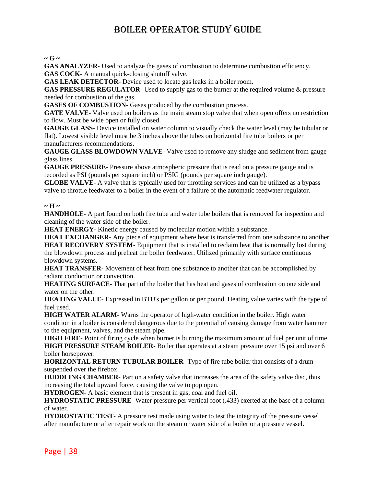$\sim$  **G**  $\sim$ 

**GAS ANALYZER**- Used to analyze the gases of combustion to determine combustion efficiency. **GAS COCK**- A manual quick-closing shutoff valve.

**GAS LEAK DETECTOR**- Device used to locate gas leaks in a boiler room.

**GAS PRESSURE REGULATOR**- Used to supply gas to the burner at the required volume & pressure needed for combustion of the gas.

**GASES OF COMBUSTION**- Gases produced by the combustion process.

**GATE VALVE**-Valve used on boilers as the main steam stop valve that when open offers no restriction to flow. Must be wide open or fully closed.

**GAUGE GLASS**- Device installed on water column to visually check the water level (may be tubular or flat). Lowest visible level must be 3 inches above the tubes on horizontal fire tube boilers or per manufacturers recommendations.

**GAUGE GLASS BLOWDOWN VALVE**- Valve used to remove any sludge and sediment from gauge glass lines.

**GAUGE PRESSURE**- Pressure above atmospheric pressure that is read on a pressure gauge and is recorded as PSI (pounds per square inch) or PSIG (pounds per square inch gauge).

**GLOBE VALVE**- A valve that is typically used for throttling services and can be utilized as a bypass valve to throttle feedwater to a boiler in the event of a failure of the automatic feedwater regulator.

#### **~ H ~**

**HANDHOLE**- A part found on both fire tube and water tube boilers that is removed for inspection and cleaning of the water side of the boiler.

**HEAT ENERGY**- Kinetic energy caused by molecular motion within a substance.

**HEAT EXCHANGER**- Any piece of equipment where heat is transferred from one substance to another. **HEAT RECOVERY SYSTEM**- Equipment that is installed to reclaim heat that is normally lost during the blowdown process and preheat the boiler feedwater. Utilized primarily with surface continuous

blowdown systems.

**HEAT TRANSFER**- Movement of heat from one substance to another that can be accomplished by radiant conduction or convection.

**HEATING SURFACE**- That part of the boiler that has heat and gases of combustion on one side and water on the other.

**HEATING VALUE**- Expressed in BTU's per gallon or per pound. Heating value varies with the type of fuel used.

**HIGH WATER ALARM**- Warns the operator of high-water condition in the boiler. High water condition in a boiler is considered dangerous due to the potential of causing damage from water hammer to the equipment, valves, and the steam pipe.

**HIGH FIRE**- Point of firing cycle when burner is burning the maximum amount of fuel per unit of time. **HIGH PRESSURE STEAM BOILER**- Boiler that operates at a steam pressure over 15 psi and over 6 boiler horsepower.

**HORIZONTAL RETURN TUBULAR BOILER**- Type of fire tube boiler that consists of a drum suspended over the firebox.

**HUDDLING CHAMBER**- Part on a safety valve that increases the area of the safety valve disc, thus increasing the total upward force, causing the valve to pop open.

**HYDROGEN**- A basic element that is present in gas, coal and fuel oil.

**HYDROSTATIC PRESSURE**- Water pressure per vertical foot (.433) exerted at the base of a column of water.

**HYDROSTATIC TEST**- A pressure test made using water to test the integrity of the pressure vessel after manufacture or after repair work on the steam or water side of a boiler or a pressure vessel.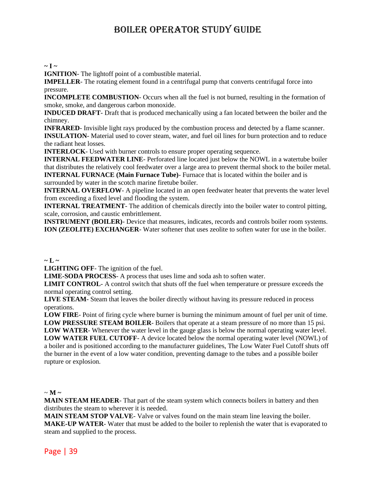#### $\sim$ **I**  $\sim$

**IGNITION**- The lightoff point of a combustible material.

**IMPELLER**- The rotating element found in a centrifugal pump that converts centrifugal force into pressure.

**INCOMPLETE COMBUSTION**- Occurs when all the fuel is not burned, resulting in the formation of smoke, smoke, and dangerous carbon monoxide.

**INDUCED DRAFT**- Draft that is produced mechanically using a fan located between the boiler and the chimney.

**INFRARED**- Invisible light rays produced by the combustion process and detected by a flame scanner. **INSULATION**- Material used to cover steam, water, and fuel oil lines for burn protection and to reduce the radiant heat losses.

**INTERLOCK**- Used with burner controls to ensure proper operating sequence.

**INTERNAL FEEDWATER LINE**- Perforated line located just below the NOWL in a watertube boiler that distributes the relatively cool feedwater over a large area to prevent thermal shock to the boiler metal. **INTERNAL FURNACE (Main Furnace Tube)**- Furnace that is located within the boiler and is surrounded by water in the scotch marine firetube boiler.

**INTERNAL OVERFLOW**- A pipeline located in an open feedwater heater that prevents the water level from exceeding a fixed level and flooding the system.

**INTERNAL TREATMENT**- The addition of chemicals directly into the boiler water to control pitting, scale, corrosion, and caustic embrittlement.

**INSTRUMENT (BOILER)**- Device that measures, indicates, records and controls boiler room systems. **ION (ZEOLITE) EXCHANGER**- Water softener that uses zeolite to soften water for use in the boiler.

#### $\sim$  **L**  $\sim$

**LIGHTING OFF**- The ignition of the fuel.

**LIME-SODA PROCESS**- A process that uses lime and soda ash to soften water.

**LIMIT CONTROL**- A control switch that shuts off the fuel when temperature or pressure exceeds the normal operating control setting.

**LIVE STEAM**- Steam that leaves the boiler directly without having its pressure reduced in process operations.

**LOW FIRE**- Point of firing cycle where burner is burning the minimum amount of fuel per unit of time. **LOW PRESSURE STEAM BOILER**- Boilers that operate at a steam pressure of no more than 15 psi. **LOW WATER**- Whenever the water level in the gauge glass is below the normal operating water level. **LOW WATER FUEL CUTOFF**- A device located below the normal operating water level (NOWL) of a boiler and is positioned according to the manufacturer guidelines, The Low Water Fuel Cutoff shuts off the burner in the event of a low water condition, preventing damage to the tubes and a possible boiler rupture or explosion.

#### $\sim$  **M**  $\sim$

**MAIN STEAM HEADER**- That part of the steam system which connects boilers in battery and then distributes the steam to wherever it is needed.

**MAIN STEAM STOP VALVE**- Valve or valves found on the main steam line leaving the boiler. **MAKE-UP WATER**- Water that must be added to the boiler to replenish the water that is evaporated to steam and supplied to the process.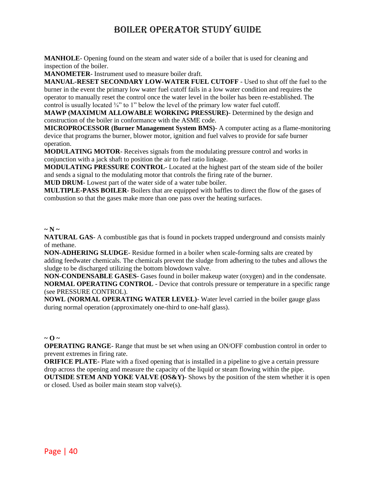**MANHOLE**- Opening found on the steam and water side of a boiler that is used for cleaning and inspection of the boiler.

**MANOMETER**- Instrument used to measure boiler draft.

**MANUAL-RESET SECONDARY LOW-WATER FUEL CUTOFF** - Used to shut off the fuel to the burner in the event the primary low water fuel cutoff fails in a low water condition and requires the operator to manually reset the control once the water level in the boiler has been re-established. The control is usually located ¾" to 1" below the level of the primary low water fuel cutoff.

**MAWP (MAXIMUM ALLOWABLE WORKING PRESSURE)**- Determined by the design and construction of the boiler in conformance with the ASME code.

**MICROPROCESSOR (Burner Management System BMS)**- A computer acting as a flame-monitoring device that programs the burner, blower motor, ignition and fuel valves to provide for safe burner operation.

**MODULATING MOTOR**- Receives signals from the modulating pressure control and works in conjunction with a jack shaft to position the air to fuel ratio linkage.

**MODULATING PRESSURE CONTROL**- Located at the highest part of the steam side of the boiler and sends a signal to the modulating motor that controls the firing rate of the burner.

**MUD DRUM**- Lowest part of the water side of a water tube boiler.

**MULTIPLE-PASS BOILER**- Boilers that are equipped with baffles to direct the flow of the gases of combustion so that the gases make more than one pass over the heating surfaces.

#### $\sim$  N  $\sim$

**NATURAL GAS-** A combustible gas that is found in pockets trapped underground and consists mainly of methane.

**NON-ADHERING SLUDGE**- Residue formed in a boiler when scale-forming salts are created by adding feedwater chemicals. The chemicals prevent the sludge from adhering to the tubes and allows the sludge to be discharged utilizing the bottom blowdown valve.

**NON-CONDENSABLE GASES**- Gases found in boiler makeup water (oxygen) and in the condensate. **NORMAL OPERATING CONTROL** - Device that controls pressure or temperature in a specific range (see PRESSURE CONTROL).

**NOWL (NORMAL OPERATING WATER LEVEL)**- Water level carried in the boiler gauge glass during normal operation (approximately one-third to one-half glass).

#### $\sim$  0  $\sim$

**OPERATING RANGE-** Range that must be set when using an ON/OFF combustion control in order to prevent extremes in firing rate.

**ORIFICE PLATE**- Plate with a fixed opening that is installed in a pipeline to give a certain pressure drop across the opening and measure the capacity of the liquid or steam flowing within the pipe. **OUTSIDE STEM AND YOKE VALVE (OS&Y)**- Shows by the position of the stem whether it is open

or closed. Used as boiler main steam stop valve(s).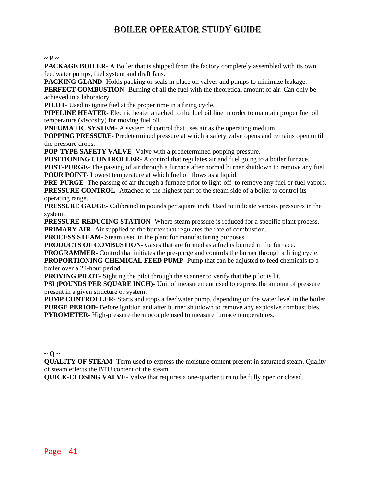#### $\sim$  **P**  $\sim$

**PACKAGE BOILER-** A Boiler that is shipped from the factory completely assembled with its own feedwater pumps, fuel system and draft fans.

**PACKING GLAND**-Holds packing or seals in place on valves and pumps to minimize leakage. **PERFECT COMBUSTION**- Burning of all the fuel with the theoretical amount of air. Can only be achieved in a laboratory.

**PILOT**- Used to ignite fuel at the proper time in a firing cycle.

**PIPELINE HEATER**- Electric heater attached to the fuel oil line in order to maintain proper fuel oil temperature (viscosity) for moving fuel oil.

**PNEUMATIC SYSTEM-** A system of control that uses air as the operating medium.

**POPPING PRESSURE**- Predetermined pressure at which a safety valve opens and remains open until the pressure drops.

**POP-TYPE SAFETY VALVE-** Valve with a predetermined popping pressure.

**POSITIONING CONTROLLER-** A control that regulates air and fuel going to a boiler furnace.

**POST-PURGE**- The passing of air through a furnace after normal burner shutdown to remove any fuel. **POUR POINT**- Lowest temperature at which fuel oil flows as a liquid.

**PRE-PURGE**- The passing of air through a furnace prior to light-off to remove any fuel or fuel vapors. **PRESSURE CONTROL**- Attached to the highest part of the steam side of a boiler to control its operating range.

**PRESSURE GAUGE**- Calibrated in pounds per square inch. Used to indicate various pressures in the system.

**PRESSURE-REDUCING STATION**- Where steam pressure is reduced for a specific plant process. **PRIMARY AIR-** Air supplied to the burner that regulates the rate of combustion.

**PROCESS STEAM**- Steam used in the plant for manufacturing purposes.

**PRODUCTS OF COMBUSTION**- Gases that are formed as a fuel is burned in the furnace.

**PROGRAMMER**- Control that initiates the pre-purge and controls the burner through a firing cycle. **PROPORTIONING CHEMICAL FEED PUMP**- Pump that can be adjusted to feed chemicals to a boiler over a 24-hour period.

**PROVING PILOT**- Sighting the pilot through the scanner to verify that the pilot is lit.

**PSI (POUNDS PER SOUARE INCH)**- Unit of measurement used to express the amount of pressure present in a given structure or system.

**PUMP CONTROLLER**- Starts and stops a feedwater pump, depending on the water level in the boiler. **PURGE PERIOD**- Before ignition and after burner shutdown to remove any explosive combustibles. **PYROMETER**- High-pressure thermocouple used to measure furnace temperatures.

#### $\sim$  0  $\sim$

**QUALITY OF STEAM**- Term used to express the moisture content present in saturated steam. Quality of steam effects the BTU content of the steam.

**QUICK-CLOSING VALVE-** Valve that requires a one-quarter turn to be fully open or closed.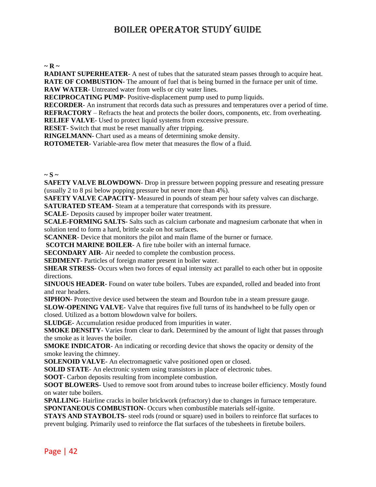#### $\sim$ **R**  $\sim$

**RADIANT SUPERHEATER-** A nest of tubes that the saturated steam passes through to acquire heat. **RATE OF COMBUSTION**- The amount of fuel that is being burned in the furnace per unit of time. **RAW WATER**- Untreated water from wells or city water lines.

**RECIPROCATING PUMP**- Positive-displacement pump used to pump liquids.

**RECORDER**- An instrument that records data such as pressures and temperatures over a period of time. **REFRACTORY** – Refracts the heat and protects the boiler doors, components, etc. from overheating.

**RELIEF VALVE**- Used to protect liquid systems from excessive pressure.

**RESET**- Switch that must be reset manually after tripping.

**RINGELMANN**- Chart used as a means of determining smoke density.

**ROTOMETER**- Variable-area flow meter that measures the flow of a fluid.

#### $\sim$  **S**  $\sim$

**SAFETY VALVE BLOWDOWN-** Drop in pressure between popping pressure and reseating pressure (usually 2 to 8 psi below popping pressure but never more than 4%).

**SAFETY VALVE CAPACITY**- Measured in pounds of steam per hour safety valves can discharge.

**SATURATED STEAM**- Steam at a temperature that corresponds with its pressure.

**SCALE**- Deposits caused by improper boiler water treatment.

**SCALE-FORMING SALTS**- Salts such as calcium carbonate and magnesium carbonate that when in solution tend to form a hard, brittle scale on hot surfaces.

**SCANNER**- Device that monitors the pilot and main flame of the burner or furnace.

**SCOTCH MARINE BOILER-** A fire tube boiler with an internal furnace.

**SECONDARY AIR**- Air needed to complete the combustion process.

**SEDIMENT**- Particles of foreign matter present in boiler water.

**SHEAR STRESS**- Occurs when two forces of equal intensity act parallel to each other but in opposite directions.

**SINUOUS HEADER**- Found on water tube boilers. Tubes are expanded, rolled and beaded into front and rear headers.

**SIPHON**- Protective device used between the steam and Bourdon tube in a steam pressure gauge.

**SLOW-OPENING VALVE**- Valve that requires five full turns of its handwheel to be fully open or closed. Utilized as a bottom blowdown valve for boilers.

**SLUDGE**- Accumulation residue produced from impurities in water.

**SMOKE DENSITY**- Varies from clear to dark. Determined by the amount of light that passes through the smoke as it leaves the boiler.

**SMOKE INDICATOR**- An indicating or recording device that shows the opacity or density of the smoke leaving the chimney.

**SOLENOID VALVE**- An electromagnetic valve positioned open or closed.

**SOLID STATE**- An electronic system using transistors in place of electronic tubes.

**SOOT**- Carbon deposits resulting from incomplete combustion.

**SOOT BLOWERS**- Used to remove soot from around tubes to increase boiler efficiency. Mostly found on water tube boilers.

**SPALLING**- Hairline cracks in boiler brickwork (refractory) due to changes in furnace temperature. **SPONTANEOUS COMBUSTION**- Occurs when combustible materials self-ignite.

**STAYS AND STAYBOLTS**- steel rods (round or square) used in boilers to reinforce flat surfaces to prevent bulging. Primarily used to reinforce the flat surfaces of the tubesheets in firetube boilers.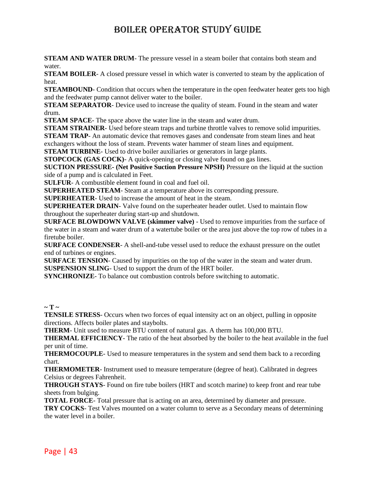**STEAM AND WATER DRUM**- The pressure vessel in a steam boiler that contains both steam and water.

**STEAM BOILER**- A closed pressure vessel in which water is converted to steam by the application of heat.

**STEAMBOUND**- Condition that occurs when the temperature in the open feedwater heater gets too high and the feedwater pump cannot deliver water to the boiler.

**STEAM SEPARATOR-** Device used to increase the quality of steam. Found in the steam and water drum.

**STEAM SPACE**- The space above the water line in the steam and water drum.

**STEAM STRAINER**- Used before steam traps and turbine throttle valves to remove solid impurities.

**STEAM TRAP**- An automatic device that removes gases and condensate from steam lines and heat exchangers without the loss of steam. Prevents water hammer of steam lines and equipment.

**STEAM TURBINE**- Used to drive boiler auxiliaries or generators in large plants.

**STOPCOCK (GAS COCK)**- A quick-opening or closing valve found on gas lines.

**SUCTION PRESSURE- (Net Positive Suction Pressure NPSH)** Pressure on the liquid at the suction side of a pump and is calculated in Feet.

**SULFUR**- A combustible element found in coal and fuel oil.

**SUPERHEATED STEAM**- Steam at a temperature above its corresponding pressure.

**SUPERHEATER**- Used to increase the amount of heat in the steam.

**SUPERHEATER DRAIN**- Valve found on the superheater header outlet. Used to maintain flow throughout the superheater during start-up and shutdown.

**SURFACE BLOWDOWN VALVE (skimmer valve)** - Used to remove impurities from the surface of the water in a steam and water drum of a watertube boiler or the area just above the top row of tubes in a firetube boiler.

**SURFACE CONDENSER**- A shell-and-tube vessel used to reduce the exhaust pressure on the outlet end of turbines or engines.

**SURFACE TENSION**- Caused by impurities on the top of the water in the steam and water drum. **SUSPENSION SLING**- Used to support the drum of the HRT boiler.

**SYNCHRONIZE**- To balance out combustion controls before switching to automatic.

 $\sim$  T  $\sim$ 

**TENSILE STRESS**- Occurs when two forces of equal intensity act on an object, pulling in opposite directions. Affects boiler plates and staybolts.

**THERM**- Unit used to measure BTU content of natural gas. A therm has 100,000 BTU.

**THERMAL EFFICIENCY**- The ratio of the heat absorbed by the boiler to the heat available in the fuel per unit of time.

**THERMOCOUPLE**- Used to measure temperatures in the system and send them back to a recording chart.

**THERMOMETER**- Instrument used to measure temperature (degree of heat). Calibrated in degrees Celsius or degrees Fahrenheit.

**THROUGH STAYS**- Found on fire tube boilers (HRT and scotch marine) to keep front and rear tube sheets from bulging.

**TOTAL FORCE**- Total pressure that is acting on an area, determined by diameter and pressure.

**TRY COCKS**- Test Valves mounted on a water column to serve as a Secondary means of determining the water level in a boiler.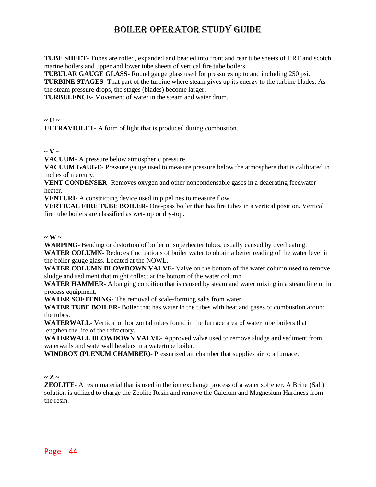**TUBE SHEET**- Tubes are rolled, expanded and beaded into front and rear tube sheets of HRT and scotch marine boilers and upper and lower tube sheets of vertical fire tube boilers.

**TUBULAR GAUGE GLASS**- Round gauge glass used for pressures up to and including 250 psi.

**TURBINE STAGES**- That part of the turbine where steam gives up its energy to the turbine blades. As the steam pressure drops, the stages (blades) become larger.

**TURBULENCE**- Movement of water in the steam and water drum.

#### $\sim$  U  $\sim$

**ULTRAVIOLET**- A form of light that is produced during combustion.

#### $\sim$  **V**  $\sim$

**VACUUM**- A pressure below atmospheric pressure.

**VACUUM GAUGE**- Pressure gauge used to measure pressure below the atmosphere that is calibrated in inches of mercury.

**VENT CONDENSER**- Removes oxygen and other noncondensable gases in a deaerating feedwater heater.

**VENTURI**- A constricting device used in pipelines to measure flow.

**VERTICAL FIRE TUBE BOILER**- One-pass boiler that has fire tubes in a vertical position. Vertical fire tube boilers are classified as wet-top or dry-top.

#### $\sim$  **W**  $\sim$

**WARPING**- Bending or distortion of boiler or superheater tubes, usually caused by overheating.

**WATER COLUMN**- Reduces fluctuations of boiler water to obtain a better reading of the water level in the boiler gauge glass. Located at the NOWL.

**WATER COLUMN BLOWDOWN VALVE**- Valve on the bottom of the water column used to remove sludge and sediment that might collect at the bottom of the water column.

**WATER HAMMER**- A banging condition that is caused by steam and water mixing in a steam line or in process equipment.

**WATER SOFTENING**- The removal of scale-forming salts from water.

**WATER TUBE BOILER**- Boiler that has water in the tubes with heat and gases of combustion around the tubes.

**WATERWALL**- Vertical or horizontal tubes found in the furnace area of water tube boilers that lengthen the life of the refractory.

**WATERWALL BLOWDOWN VALVE**- Approved valve used to remove sludge and sediment from waterwalls and waterwall headers in a watertube boiler.

**WINDBOX (PLENUM CHAMBER)**- Pressurized air chamber that supplies air to a furnace.

#### $\sim Z \sim$

**ZEOLITE**- A resin material that is used in the ion exchange process of a water softener. A Brine (Salt) solution is utilized to charge the Zeolite Resin and remove the Calcium and Magnesium Hardness from the resin.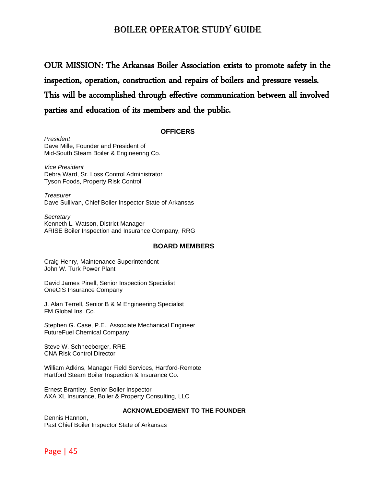OUR MISSION: The Arkansas Boiler Association exists to promote safety in the inspection, operation, construction and repairs of boilers and pressure vessels. This will be accomplished through effective communication between all involved parties and education of its members and the public.

#### **OFFICERS**

*President* Dave Mille, Founder and President of Mid-South Steam Boiler & Engineering Co.

*Vice President*  Debra Ward, Sr. Loss Control Administrator Tyson Foods, Property Risk Control

*Treasurer*  Dave Sullivan, Chief Boiler Inspector State of Arkansas

*Secretary* Kenneth L. Watson, District Manager ARISE Boiler Inspection and Insurance Company, RRG

#### **BOARD MEMBERS**

Craig Henry, Maintenance Superintendent John W. Turk Power Plant

David James Pinell, Senior Inspection Specialist OneCIS Insurance Company

J. Alan Terrell, Senior B & M Engineering Specialist FM Global Ins. Co.

Stephen G. Case, P.E., Associate Mechanical Engineer FutureFuel Chemical Company

Steve W. Schneeberger, RRE CNA Risk Control Director

William Adkins, Manager Field Services, Hartford-Remote Hartford Steam Boiler Inspection & Insurance Co.

Ernest Brantley, Senior Boiler Inspector AXA XL Insurance, Boiler & Property Consulting, LLC

#### **ACKNOWLEDGEMENT TO THE FOUNDER**

Dennis Hannon, Past Chief Boiler Inspector State of Arkansas